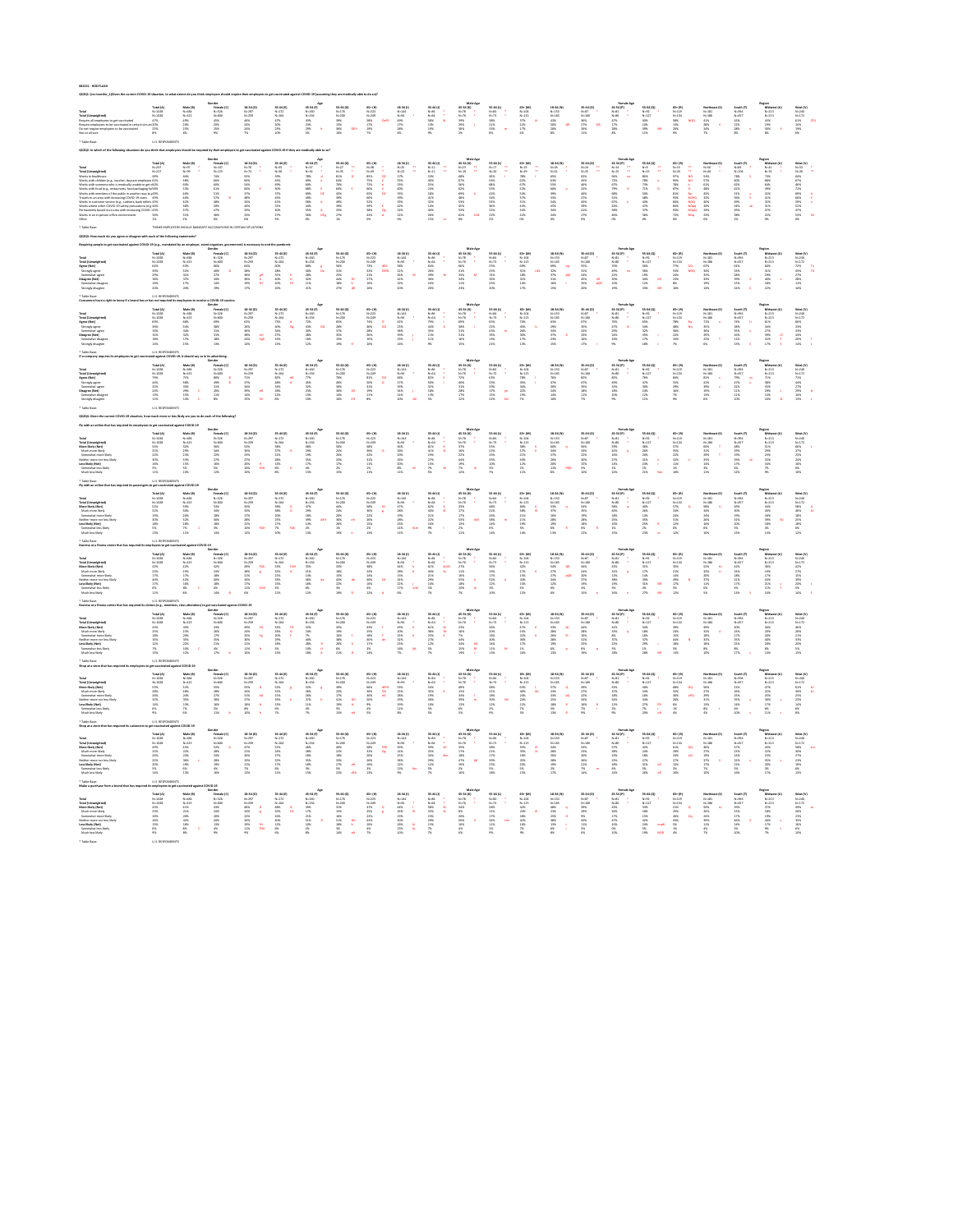#### **081321 - HOD FLASH**

#### QS2Q1: [res transfer\_1]Given the current COVID-19 situation, to what extent do you think employers should require their employees to get vaccinated against COVID-19 (assuming they are medically able to do so)?

\* Table Base: U.S. RESPONDENTS

**QS2Q2: In which of the following situations do you think that employees should be required by their employers to get vaccinated against COVID-19 if they are medically able to so?**

\* Table Base: THINKS EMPLOYERS SHOULD MANDATE VACCINATIONS IN CERTAIN SITUATIONS

**QS2Q3: How much do you agree or disagree with each of the following statements?**

**Requiring people to get vaccinated against COVID-19 (e.g., mandated by an employer, event organizer, government) is necessary to end the pandemic.**

\* Table Base: U.S. RESPONDENTS

**Consumers have a right to know if a brand has or has not required its employees to receive a COVID-19 vaccine.**

|                           |                                      |                |       | 18-34 (D)   | 35-44 (E) | 45-54 (F) | 55-64 (G) | 65+ (H)                        | 18-34 (I) | 35-44 (J)  | 45-54 (K)                         | 55-64 (L) | 65+ (M)    | 18-34 (N) | 35-44 (O) | 45-54 (P)         | 55-64 (Q) | 65+ (R)    | Northeast (S) | South (T) | Midwest (U) | West (V)  |
|---------------------------|--------------------------------------|----------------|-------|-------------|-----------|-----------|-----------|--------------------------------|-----------|------------|-----------------------------------|-----------|------------|-----------|-----------|-------------------|-----------|------------|---------------|-----------|-------------|-----------|
| Total                     |                                      | N=1028 N=484   | N=526 | N=297       | N=172     | $N = 160$ | $N = 176$ | $N = 223$                      | $N = 144$ |            | N=84 * N=78 * N=84 *              |           | $N = 104$  | $N = 153$ |           | $N=87$ * $N=81$ * | $N=92$ *  | $N = 119$  | N=181         | $N = 394$ | $N = 213$   | $N = 240$ |
| <b>Total (Unweighted)</b> | N=1028                               | N=415          | N=600 | $N = 259$   | N=164     | $N = 156$ | $N = 200$ | $N=249$                        |           |            | N=94 * N=64 * N=76 * N=73 * N=115 |           |            | $N = 165$ | $N = 100$ | $N=80$ * $N=127$  |           | $N = 134$  | N=186         | N=457     | $N = 213$   | $N = 172$ |
| <b>Agree (Net)</b>        |                                      | 69%        68% | 69%   | 62%         | 73% d 72% |           | 65%       | 74% D 61%                      |           | 79% i 69%  |                                   | 65%       | 70%        | 63%       | 67%       | 76%               | 65%       |            |               |           |             |           |
| Strongly agree            |                                      | 34%            | - 38% | 26%         |           |           |           | 40% Dg 43% DG 28% - 46% DG 23% |           |            | 44% IL 38% i 22%                  |           | 45% IL 29% |           | 35%       | 47% N 34%         |           | 48% Ng 35% |               |           | 34%         | 33%       |
| Somewhat agree            | 33% по последните подрачки при       | 34%            | 31%   | 36%         | 34%       | 30%       | 3/%       |                                | 28% 38%   | 35% 31%    |                                   | 43% m     | 26%        | 34%       | 32%       | 29%               | 32%       | 30%        | 36%           | 35% u 27% |             | $33\%$    |
| <b>Disagree (Net)</b>     | 31%                                  | 32%            | 31%   | 38% eH 27%  |           | 28%       | 35%       | 26%                            | 39% j     | $\sim$ 21% | 31% 35%                           |           | 30%        | 37% R     | 33%       | 24%               | 35% r 22% |            | 29%           | 26%       | 39% sT 34%  |           |
| Somewhat disagree         | 18% по последните при подрачки при п | 17%            | 18%   | 24% Egh 14% |           | 16%       | 15%       | 16%                            | 25% j     | 11%        | 16%                               | 13%       | 17%        | 23%       | 16%       | 16%               | 17%       | 15%        | 22% T         |           | 22% T 20% T |           |
| Strongly disagree         | 14%                                  | 15%            | 13%   | 14%         | 13%       | 12%       | 19% H     | $10\%$                         | 14%       |            | 15%                               | 21%       | 13%        | 15%       | 17% r 9%  |                   | 18% r 7%  |            | 6%            |           | 17% S       | $14\%$ s  |

# \* Table Base: U.S. RESPONDENTS

**If a company requires its employees to get vaccinated against COVID-19, it should say so in its advertising.**

\* Table Base: U.S. RESPONDENTS

## **QS2Q4: Given the current COVID-19 situation, how much more or less likely are you to do each of the following?**

# **Fly with an airline that has required its employees to get vaccinated against COVID-19**

#### \* Table Base: U.S. RESPONDENTS

|                                                          | Gender    |          |            |           |           |           |           |              |             |           | Male Age  |            |           |                  |           | <b>Female Age</b> |                  |             |               |           |             |           |
|----------------------------------------------------------|-----------|----------|------------|-----------|-----------|-----------|-----------|--------------|-------------|-----------|-----------|------------|-----------|------------------|-----------|-------------------|------------------|-------------|---------------|-----------|-------------|-----------|
|                                                          | Total (A) | Male (B) | Female (C) | 18-34 (D) | 35-44 (E) | 45-54 (F) | 55-64 (G) | 65+ (H)      | $18-34$ (I) | 35-44 (J) | 45-54 (K) | 55-64 (L)  | 65+ (M)   | $18-34(N)$       | 35-44 (O) | 45-54 (P)         | 55-64 (Q)        | 65+ (R)     | Northeast (S) | South (T) | Midwest (U) | West (V)  |
| <b>Total</b>                                             | N=1028    | N=484    | N=526      | N=297     | N=172     | $N = 160$ | $N = 176$ | $N = 223$    | $N = 144$   | $N = 84$  | $N=78$ *  | $N = 84$ * | $N = 104$ | $N = 153$        | $N = 87$  | $N=81$            | $N = 92$         | N=119       | N=181         | $N = 394$ | $N = 213$   | $N = 240$ |
| <b>Total (Unweighted)</b>                                | N=1028    | N=415    | $N = 600$  | N=259     | $N = 164$ | $N = 156$ | $N = 200$ | N=249        | N=94        | N=64      | N=76 *    | $N = 73$   | $N = 115$ | $N = 165$        | N=100     | $N=80$ $\gamma$   | $N = 127$        | $N = 134$   | N=186         | N=457     | $N = 213$   | N=172     |
| Require all employees to get vaccinated                  |           | 49%      | 45%        | 46%       | 47%       | 43%       | 39%       | 58% DeFG 49% |             | 58%       | 39%       | 38%        | 57% kl    | 43%              | 36%       |                   | 40%              | 58% NOQ 41% |               |           |             | 61% STU   |
| Require employees to be vaccinated in certain circum 20% |           | 20%      | 20%        | 24%       | 20%       | 23%       | 15%       | 17%          | 17%         | 13%       | 29%       | 21%        | 22%       | 30%<br><b>OR</b> | 27%       |                   | 10%              | 13%         | 28%           |           |             | 14%       |
| Do not require employees to be vaccinated                | 25%       | 25%      |            | 24%       | 23%       | 29%       | 36% DEH   | 19%          | 28%         | 19%       | 30%       | 33%        | 17%       | 20%              | 26%       | -28%              | 39%<br><b>NR</b> | 20%         | 24%           |           |             | 19%       |
| Not at all sure                                          |           |          |            | 7%        |           |           | 10%       |              | 6%          |           |           | 8%         | 4%        | 8%               |           |                   | 11%              | 9%          |               |           |             |           |

**Fly with an airline that has required its passengers to get vaccinated against COVID-19**

|                                                             |           |          | Gender     |           |           |                   |           |         |           |           | <b>Male Age</b> |           |           |           |           | <b>Female Age</b> |           |                   |               |           | Region      |          |
|-------------------------------------------------------------|-----------|----------|------------|-----------|-----------|-------------------|-----------|---------|-----------|-----------|-----------------|-----------|-----------|-----------|-----------|-------------------|-----------|-------------------|---------------|-----------|-------------|----------|
|                                                             | Total (A) | Male (B) | Female (C) | 18-34 (D) | 35-44 (E) | 45-54 (F)         | 55-64 (G) | 65+ (H) | 18-34 (I) | 35-44 (J) | 45-54 (K)       | 55-64 (L) | $65+ (M)$ | 18-34 (N) | 35-44 (O) | 45-54 (P)         | 55-64 (Q) | 65+ (R)           | Northeast (S) | South (T) | Midwest (U) | West (V) |
| <b>Total</b>                                                | $N = 207$ |          | $N = 107$  |           | $N = 35$  | $N = 37$          |           |         | $N=25$    | $N=11$    |                 | $N=17$    | $N = 23$  | $N = 45$  | $N = 24$  | $N = 14$          |           | $N = 15$          |               | $N = 83$  | N=41        | $1 - 22$ |
| <b>Total (Unweighted)</b>                                   | $N = 227$ |          | $N = 125$  | $N = 73$  | $N=36$    | $N = 34$          |           | N=49    | $N=22$    | N=11      | N=19            | 02=ا∧     |           | N=51      | $N=25$    | $N=15$            |           |                   |               | N=104     | $N = 51$    | $N = 26$ |
| Works in healthcare                                         |           |          |            |           |           | 78%               |           | 85%     |           |           | 68%             | 81%       | 78%       |           |           | 94%               | ጸበ%       | 97%               | 54%           |           |             |          |
| Works with children (e.g., teacher, daycare employee 62%    |           |          | 66%        |           | 43%       | 69%               | 63%       | 75%     |           |           |                 |           |           |           |           | 72%               | 78%       | 95%               | 57%           |           |             |          |
| Works with someone who is medically unable to get v60%      |           |          | 50%        |           | 49%       | 60%               | 70%       | 72%     |           |           | 56%             | 68%       |           |           |           | 67%               | 73%       | 78%               | 61%           |           | 64%         |          |
| Works with food (e.g., restaurants, food packaging fa 58%   |           | 53%      | 61%        |           | 30%       | 68%               | 60%       | 66%     |           |           |                 |           |           |           |           | 79%               |           | 87%               | 48%           |           | 49%         |          |
| Works with members of the public in another way (e. 49%     |           | 46%      | 51%        |           | 37%       | 69%               | 45%       | 65%     | 33%       | 18%       | 69%             | 42%       |           |           |           | 68%               | 50%       | 81%<br>No.        | 45%           |           | 32%         |          |
| Travels to an area with increasing COVID-19 cases 49%       |           |          | 57%        | 48%       | 45%       |                   | 39%       |         |           |           |                 |           |           |           |           |                   | 48%       | 93%<br>NOPQ 32%   |               |           |             |          |
| Works in customer service (e.g., cashiers, bank tellers 45% |           | 42%      | 18%        |           | 41%       | 58%               | 49%       |         |           |           |                 |           |           |           |           | 67%               | 43%       | NOQ 40%<br>84%    |               |           | 32%         |          |
| Works where other COVID-19 safety precautions (e.g 44%      |           |          | 49%        |           |           |                   | 39%       | 59%     |           |           |                 |           |           |           |           | 43%               |           | NOpq 34%<br>84%   |               |           |             |          |
| Permanently based in an area with increasing COVID-143%     |           | 37%      | 47%        |           | 40%       | 55%               | 33%       | 58%     | -32%      |           |                 |           |           |           |           | 58%               | 37%       | NOpQ 33%<br>93%   |               |           | 47%         |          |
| Works in an in-person office environment                    |           |          | 36%        |           |           | 56%<br><b>DEg</b> | 27%       | 42%     |           |           | 62%             |           |           |           |           | 46%               |           | <b>NOq</b><br>72% |               |           |             | 53%      |
|                                                             |           |          |            |           |           |                   |           |         |           |           |                 |           |           |           |           |                   |           |                   |               |           |             |          |

## \* Table Base: U.S. RESPONDENTS

|                       | Gender     |           |          |           |           |               |            |           |           |           | Male Age  |           |             |            |           |           |           |           |               |          |             |          |
|-----------------------|------------|-----------|----------|-----------|-----------|---------------|------------|-----------|-----------|-----------|-----------|-----------|-------------|------------|-----------|-----------|-----------|-----------|---------------|----------|-------------|----------|
|                       |            | Male (B)  | Female ( | 18-34 (D) | 35-44 (E) | 45-54 (F)     | $55-64$ (0 | $65+ (H)$ | 18-34 (I) | 35-44 (J) | 45-54 (K) | 55-64 (L) | 65+ (M)     | 18-34 (N)  | 35-44 (O) | 45-54 (P) | 55-64 (Q) | 65+ (R)   | Northeast (S) | South (T | Midwest (U) | West (V) |
| Total                 | N=1028     | $N = 484$ | N=526    | N=297     | $N = 172$ | $N = 160$     | $N = 176$  | $N = 223$ | $N = 144$ | N=84      | N=78      | N=84،     | N=104       | $N = 153$  | N=87      | N=81      |           | $N = 119$ | $N = 181$     | N=394    | $N = 213$   |          |
| Total (Unweighte      | $N = 1028$ | $N = 415$ | N=600    | $N = 259$ | $N = 164$ | $N = 156$     | $N = 200$  | $N = 249$ |           | N=64      | N=76      | $N=73$    | $N = 115$   | $N = 165$  | $N = 100$ | $N=80$    | $N = 127$ | $N = 134$ | N=186         | N=457    | $N = 213$   | N=172    |
| <b>Agree (Net)</b>    |            | 63%       | 66%      |           | 60%       | 68%           | 56%        |           |           | 64%       | 66%       |           | 69%         | 69%        | 55%       | 70%       | 56%       | 77%       |               |          | 60%         | 72%      |
| Strongly agree        |            | 32%       | 40%      |           | 28%       | 40%<br>i De l | 31%        |           | 22%       | 26%       | 31%       | 25%       | 51%<br>IJKL | 32%        | 31%       | 49%       | - 36%     |           | - 34%         | 33%      | 31%         | 45%      |
| Somewhat agree        |            | 31%       |          |           | 31%       | 28%           | 25%        |           | 36%       | 39%       | 35%       | 31%       | 18%         | <b>pur</b> | 24%       | 22%       | 19%       | 24%       |               | 28%      | 29%         | 27%      |
| <b>Disagree (Net)</b> |            | 37%       | 34%      | 36%       | 40%       | 32%           | 44%        |           |           | 36%       | 34%       | 45%       |             |            | 45%       | - 30%     | 44%       | 23%       |               | 39%      | 40%         |          |
|                       |            | 17%       | 14%      | 19%       | 20%       | 11%           | 18%        | 10%       | 22%       | 16%       | 11%       | 25%       | 14%         | 16%        | 25%       | 10%       | 12%       | 8%        |               | 15%      | 18%         |          |
| trongly disagree      |            | 20%       | 19%      |           | 20%       | 21%           | 27%        |           | 20%       | 20%       | 23%       | 20%       | 17%         |            | 20%       | 19%       | 33%       | 16%       | 14%           | 24%      | 22%         |          |
|                       |            |           |          |           |           |               |            |           |           |           |           |           |             |            |           |           |           |           |               |          |             |          |

\* Table Base: U.S. RESPONDENTS

**Exercise at a fitness center that has required its visitors (e.g., members, class attendees) to get vaccinated against COVID-19**

|                       |           |           |            |           |           | Age       |           |           |           |           | <b>Male Age</b> |           |           |           |           | <b>Female Age</b> |           |           |               |           |           |           |
|-----------------------|-----------|-----------|------------|-----------|-----------|-----------|-----------|-----------|-----------|-----------|-----------------|-----------|-----------|-----------|-----------|-------------------|-----------|-----------|---------------|-----------|-----------|-----------|
|                       | Total (A) | Male (B)  | Female (C) | 18-34 (D) | 35-44 (E) | 45-54 (F) | 55-64 (G) | 65+ (H)   | 18-34 (I) | 35-44 (J) | 45-54 (K)       | 55-64 (L) | 65+ (M)   | 18-34 (N) | 35-44 (O) | 45-54 (P)         | 55-64 (Q) | 65+ (R)   | Northeast (S) | South (T) |           | West (V)  |
| Total                 | N=1028    | N=484     | N=526      | $N = 297$ |           |           | N=176     | $N = 223$ | $N = 144$ | $N = 84$  | N=78            | $N = 84$  | $N = 104$ | $N = 153$ | N=87      | N=81              | N=92      | $N = 119$ | N=181         | $N = 394$ | N=213     | $N = 240$ |
| Total (Unweighte      | N=1028    | $N = 415$ | $N = 600$  | $N = 259$ | $N = 164$ | $N = 156$ | $N = 200$ | $N = 249$ | N=94      | N=64      | N=76            | N=73      | $N = 115$ | $N = 165$ | $N = 100$ |                   | $N = 127$ | $N = 134$ | N=186         | $N = 457$ | $N = 213$ | $N = 172$ |
| <b>Agree (Net)</b>    | 76%       |           |            | 71%       | 82%       | 77%       | 70%       | 81% DG    | 66%       | 82%       | 72%             |           | 78%       | 76%       | 82%       | 82%               | 76%       | 84%       | 81% v         | 79%       |           |           |
| Strongly agree        | 44%       | 38%       |            |           | 48%       | 45%       | 40%       | 50%       | 27%       | 50%       | 40%             | 33%       | 45%       | 47%       | 47%       | 49%               | 47%       | 55%       | 41%           |           | -38%      | 44%       |
| Somewhat agree        |           |           |            | 34%       | 34%       | 32%       | 30%       | 31%       | 39%       | 32%       |                 | 29%       | 34%       | 30%       | 35%       | 32%               | 30%       | 29%       | 39%           |           | 33%       | 27%       |
| <b>Disagree (Net)</b> | 24%       | 29%       | 20%        | 29% eH    | 18%       | 23%       | - EH I    | 19%       | 34%       | 18%       | 28%             | 37%       | 22%       | 24%       | 18%       | 18%               | 24%       | 16%       | 19%           |           | 29%       | 29% st    |
| Somewhat disagree     |           |           |            |           | 12%       | 13%       | 14%       | 11%       | 14%       | 13%       |                 | 15%       |           | 14%       | 11%       |                   | 12%       | $1\%$     | 13%           |           | 13%       | 16%       |
| Strongly disagree     |           |           |            |           | 6%        | 10%       |           |           | 20%       | -5%       |                 |           |           |           |           |                   |           |           |               |           |           |           |
|                       |           |           |            |           |           |           |           |           |           |           |                 |           |           |           |           |                   |           |           |               |           |           |           |

| Total                        | N=1028                      |                | N=526 | N=297             |           |           | N=160       | N=176     | $N = 223$                                                    | $N = 144$ | $N=84$ * $N=78$ *         |            |           |     | $N=84$ * $N=104$ |     |                      | $N = 153$ |           |                    |     | $N=87$ * $N=81$ *          |           | $N = 92$ * | N=119                 | N=181     | N=394     | N=213     | $N = 240$ |
|------------------------------|-----------------------------|----------------|-------|-------------------|-----------|-----------|-------------|-----------|--------------------------------------------------------------|-----------|---------------------------|------------|-----------|-----|------------------|-----|----------------------|-----------|-----------|--------------------|-----|----------------------------|-----------|------------|-----------------------|-----------|-----------|-----------|-----------|
| <b>Total (Unweighted)</b>    | N=1028                      | N=415          | N=600 | N=259             | $N = 164$ |           | N=156       | $N = 200$ | N=249                                                        |           | N=94 * N=64 * N=76 * N=73 |            |           |     | $\ast$ N=115     |     |                      | $N = 165$ | $N = 100$ |                    |     | $N = 80$ *                 | $N = 127$ |            | N=134                 | N=186     | N=457     | $N = 213$ | $N = 172$ |
| More likely (Net)            | 43%                         | 43%            | 43%   | 49% FG 52% FG 32% |           |           |             | 35%       | 43% f 45% K 61% KL 23% 36%                                   |           |                           |            |           |     |                  |     | 47% K 53% Qr 44% 41% |           |           |                    |     |                            | $34\%$    |            | 39%                   | 49%       | 40%       | 40%       | 46%       |
| Much more likely             | 25% and the state of $\sim$ | 23%            | 26%   | 24%               |           | 33% G 24% |             |           | 19%        25%        20%        38%   IKl    16%        20% |           |                           |            |           |     |                  | 25% | 28%                  |           | 28%       |                    |     | 33%    q    18%            |           |            | 24%                   | 32% U 24% |           | 20%       | 26%       |
| Somewhat more likely         | 18%                         | 20%            | 17%   | 25% Fg 20% F 7%   |           |           |             |           | 16% f 18% F 25% K 23% K 7% 16%                               |           |                           |            |           |     |                  |     | 22% K 26% Pr 16%     |           |           |                    |     | 8% and the state of $\sim$ | 16%       |            | 15%                   | 18%       | 17%       | 20%       | 21%       |
| Neither more nor less likely |                             | 35%        35% | 35%   | 30%               | 29%       |           | 40%         | 38%       | 40%   de    32%                                              |           | 27%                       | 44%        |           | 40% |                  | 36% | $28\%$               |           |           | 31%                | 37% |                            | $37\%$    |            | 44% N 33%             |           | 35%       | 40%       | 33%       |
| Less likely (Net)            | 22%                         | 22%            | 21%   | 21%               | 18%       |           |             |           | 28% H 26% h 17% 23% 12%                                      |           |                           | 34% JM 24% |           |     |                  | 17% | 19%                  |           |           | 25% and $\sim$ 25% | 22% |                            |           |            | 29% r 18%             | 18%       | 25%       | $20\%$    | $20\%$    |
| Somewhat less likely         | 7% and the state of $\sim$  | 10% C 4%       |       | 11% H 5%          |           |           | 10% H 6% 3% |           |                                                              |           | 16% <b>jM</b> 5%          |            |           |     |                  |     | 15% M 11% M 1%       |           |           |                    |     |                            |           |            | 6% q 6% q 5% 1% 1% 5% | 8%        | 8%        | 6%        | $5\%$     |
| Much less likely             | 15% and the state of $\sim$ | 12%            |       | 10%               | 13%       |           |             |           | 18% d 21% D 14% 7% 7% 7%                                     |           |                           |            | 19% i 13% |     |                  | 16% |                      | 13%       |           | 19% 18%            |     |                            |           | 28% NR 13% |                       | 10%       | 17% s 14% |           | 15%       |

|                              | Gender     |           |            |           |           |           |            |           |             |           | Male Age  |           |           |            |           | <b>Female Age</b> |           |           |               |           |             |           |
|------------------------------|------------|-----------|------------|-----------|-----------|-----------|------------|-----------|-------------|-----------|-----------|-----------|-----------|------------|-----------|-------------------|-----------|-----------|---------------|-----------|-------------|-----------|
|                              | Total (A)  | Male (B)  | Female (C) | 18-34 (D) | 35-44 (E) | 45-54 (F) | 55-64 (G)  | 65+ (H)   | $18-34$ (I) | 35-44 (J) | 45-54 (K) | 55-64 (L) | 65+ (M)   | 18-34 (N)  | 35-44 (O) | 45-54 (P)         | 55-64 (Q) | 65+ (R)   | Northeast (S) | South (T) | Midwest (U) | West (V)  |
| Total                        | N=1028     | N=484     | N=526      | $N = 297$ | N=172     | $N = 160$ | N=176      | $N = 223$ | $N = 144$   | $N = 84$  | N=78      |           | $N = 104$ | $N = 153$  | N=87      | N=81              | N=92      | $N = 119$ | N=181         | N=394     | $N = 213$   | N=240     |
| Total (Unweighted            | $N = 1028$ | $N = 415$ | $N = 600$  | $N = 259$ | $N = 164$ |           | $N = 200$  | $N = 249$ | N=94        | $N = 64$  | N=76      |           | $N = 115$ | $N = 165$  |           |                   | $N = 127$ | $N = 134$ | N=186         | $N = 457$ | $N = 213$   | $N = 172$ |
| More likely (Net)            |            | 52%       | 56%        | 53%       | 58%       | 48%       |            | 58%       | 46%         |           |           | 55%       | 58%       |            | 56%       |                   | 46%       | 57%       | 60%           | 48%       | 51%         | 60%       |
| Much more likely             |            | 29%       |            | 30%       |           | 29%       |            | 36%       | 26%         |           |           |           | 37%       | 34%        | 33%       |                   | 26%       | 35%       | 31%           |           | 29%         |           |
|                              |            | 23%       | 22%        | 23%       | 21%       | 19%       | <b>26%</b> |           | 20%         | 19%       |           | 33%       | 21%       | 27%        | 22%       |                   | 20%       |           | 29%           |           | 23%         |           |
| Neither more nor less likely |            | 33%       |            | 27%       | 28%       | 35%       |            |           | 35%         |           | 44%       |           | 30%       | 20%        |           |                   | 31%       |           | 25%           |           | 33%         |           |
| Less likely (Net)            |            | 15%       |            | 20%       | 14%       |           |            |           | 20%         |           |           |           | 12%       | 20%        | 15%       | 14%               | 23%       |           | 14%           |           | 16%         |           |
|                              |            | 5%.       |            | 10%       |           |           |            |           | 8%          |           |           |           | $1\%$     | <b>POR</b> | 5%        | 1%                |           |           | 3%            |           |             |           |
| Much less likely             |            |           |            | 10%       |           |           |            |           |             |           |           |           | 11%       | 8%         |           |                   | ?1%       |           |               |           |             |           |

|                   | Gender     |           |            |            |           |           |           |           |           |           |           | <b>Male Age</b> |           |           |           |           | <b>Female Ag</b> |           |           |               |           |             |           |
|-------------------|------------|-----------|------------|------------|-----------|-----------|-----------|-----------|-----------|-----------|-----------|-----------------|-----------|-----------|-----------|-----------|------------------|-----------|-----------|---------------|-----------|-------------|-----------|
|                   | Total (A)  | Male (B)  | Female (C) | $18-34(D)$ | 35-44 (E) | 45-54 (F) | 55-64 (G) | 65+ (H)   | 18-34 (I) | 35-44 (J) | 45-54 (K) |                 | 55-64 (L) | 65+ (M)   | 18-34 (N) | 35-44 (O) | 45-54 (P)        | 55-64 (Q) | 65+ (R)   | Northeast (S) | South (T) | Midwest (U) | West (V)  |
| <b>Total</b>      | $N = 1028$ | N=484     | $N = 526$  | N=297      | $N = 172$ | N=160     | N=176     | $N = 223$ | $N = 144$ |           |           |                 |           | $N = 104$ | $N = 153$ | N=87      |                  |           |           | N=181         |           | $N = 213$   | $N = 240$ |
| Total (Unweight   | N=1028     | $N = 415$ | $N = 600$  | $N = 259$  | $N = 164$ | N=156     | $N = 200$ | $N = 249$ | N=94      | N=64      | N=76 I    |                 |           | $N = 115$ | $N = 165$ | N=100     | N=80             | N=127     | $N = 134$ | $N = 186$     | $N = 457$ | $N = 213$   | $N = 172$ |
| More likely (Net) |            | 50%       |            | 50%        | 58%       | 47%       | 44%       | 58%       |           |           |           |                 |           | 60%       |           | 54%       | 58%              | 40%       |           |               | 49%       | 44%         | 58%       |
| Much more likely  |            |           |            | 33%        | 38%       | 29%       | 24%       | 36%       | 28%       |           |           |                 |           | 38%       |           | 35%       | 4U7              |           |           |               |           |             | 40%       |
|                   |            |           |            | 17%        | 20%       | 18%       |           |           | 19%       |           |           |                 | າ ເທ      | 21%       | 16%       | 19%       | 18%              |           | 24%       | 24%           | 19%       |             | 18%       |
|                   |            |           |            | 28%        | 25%       | 39%       |           |           | 28%       |           | 53%       |                 |           |           | 28%       | 28%       |                  |           |           |               |           |             |           |
| Less likely (Net) |            |           |            | 22%        | 17%       | 14%       | 20%       |           |           |           | 13%       |                 |           | 19%       | 19%       | 18%       | 16%              |           |           |               |           |             |           |
|                   |            |           |            | 10%        |           |           |           |           | 14%       | 9%        |           |                 |           |           | 6%        |           |                  |           | 0%        |               |           |             |           |
|                   |            |           |            | 12%        |           | 13%       |           |           |           |           |           |                 |           | 14%       |           |           |                  |           |           |               |           |             |           |

| Exercise at a fitness center that has required its employees to get vaccinated against COVID-19 |            |           |              |           |           |           |           |           |           |             |           |           |           |           |           |                   |           |           |               |           |            |           |
|-------------------------------------------------------------------------------------------------|------------|-----------|--------------|-----------|-----------|-----------|-----------|-----------|-----------|-------------|-----------|-----------|-----------|-----------|-----------|-------------------|-----------|-----------|---------------|-----------|------------|-----------|
|                                                                                                 |            |           | Gender       |           |           |           |           |           |           |             | Male Age  |           |           |           |           | <b>Female Age</b> |           |           |               |           | Region     |           |
|                                                                                                 | Total (A)  | Male (B)  | Female (C)   | 18-34 (D) | 35-44 (E) | 45-54 (F) | 55-64 (G) | 65+ (H    | 18-34 (I) | $35-44$ (J) | 45-54 (K) | 55-64 (L) | 65+ (M)   | 18-34 (N  | 35-44 (O) | 45-54 (P)         | 55-64 (Q) | 65+ (R)   | Northeast (S) | South (T) | Midwest (U | West (V)  |
| <b>Total</b>                                                                                    | $N = 1028$ | N=484     | N=526        | $N = 297$ | N=172     | $N = 160$ | N=176     | $N = 223$ | $N = 144$ | N=84        | N=78      | N=84      | $N = 104$ | $N = 153$ | N=87      |                   |           | $N = 119$ | $N = 181$     | N=394     | $N = 21$   | $N = 240$ |
| Total (Unweighted                                                                               | $N = 1028$ | $N = 415$ | $N = 600$    | $N = 259$ | $N = 164$ | $N = 156$ | $N = 200$ | $N = 249$ | $N=94$    | N=64        | N=76      | $N = 73$  | $N = 115$ | $N = 165$ | $N = 100$ | N=80              | $N = 127$ | $N = 134$ | $N = 186$     | N=457     | $N = 213$  | $N = 172$ |
| More likely (Net)                                                                               |            |           | 42%          | 49%       | 53%       | 35%       | 33%       | 38%       | 44%       | 51%         |           | 36%       | 42%       | 54%       | 44%       | 43%               | 31%       | 35%       | 52%           | -42%      | 36%        | 42%       |
| Much more likelv                                                                                |            |           | 24%          | 28%       |           | 21%       | 18%       | 24%       | 28%       | 40%         |           | 19%       | 27%       |           | 24%       |                   | 17%       | 21%       | 32%           | 24%       | 19%        | 27%       |
| Somewhat more likel <sup>,</sup>                                                                |            |           |              | 21%       | 21%       | 14%       |           | 14%       |           | 21%         | 16%       | 17%       | 15%       |           | 20%       | 120/              | 14%       | 14%       | 20%           |           | 17%        | 15%       |
|                                                                                                 |            |           | $\Lambda$ 00 | 34%       | 33%       | 46%       |           | 46%       | 34%       | 29%         |           |           | 43%       |           |           | 38%               | 39%       | 49%       | 37%           |           | 43%        | 39%       |
| Less likely (Net)                                                                               |            |           |              | 17%       | 15%       | 18%       |           | 16%       | 22%       | 10%         |           |           |           | 12%       | 100       | 19%               | $31\%$    | 170/      | 11%           |           | 21%        |           |
| Somewhat less likelv                                                                            |            | 8%        |              | 11%       | 4%        | 6%        |           | 4%        | 17%       |             | 10%       |           |           | 6%        | 4%        |                   | 4%        |           | 6%            |           | 11%        |           |
| Much less likely                                                                                |            |           |              | 6%        |           | 12%       |           |           |           |             |           |           |           | -6%       |           |                   |           |           | 5%            |           | 10%        |           |

| * Table Base: | U.S. RESPONDENTS |
|---------------|------------------|
|               |                  |

|  |                               |  |  |  |  |  |  |  |  | Region |  |
|--|-------------------------------|--|--|--|--|--|--|--|--|--------|--|
|  | Total (A) Male (B) Female (C) |  |  |  |  |  |  |  |  |        |  |

| Shop at a store that has required its employees to get vaccinated against COVID-19 |            |           |            |           |           |           |           |         |           |           |           |           |           |           |           |                   |          |           |               |           |                      |           |
|------------------------------------------------------------------------------------|------------|-----------|------------|-----------|-----------|-----------|-----------|---------|-----------|-----------|-----------|-----------|-----------|-----------|-----------|-------------------|----------|-----------|---------------|-----------|----------------------|-----------|
|                                                                                    |            |           | Gende      |           |           |           |           |         |           |           | Male Agr  |           |           |           |           | <b>Female Age</b> |          |           |               |           |                      |           |
|                                                                                    | Total (A)  | Male (B   | Female (C) | 18-34 (D) | 35-44 (E) | 45-54 (F) | 55-64 (G) | 65+ (H) | 18-34 (I) | 35-44 (J) | 45-54 (K) | 55-64 (L) | 65+ (M)   | 18-34 (N) | 35-44 (O) | 45-54 (P)         | 55-64 (Q | 65+ (R)   | Northeast (S) | South (T) | Midwest <sup>/</sup> | West (V)  |
| <b>Total</b>                                                                       | N=1028     | N=484     | $N = 526$  | $N = 297$ | $N = 172$ | N=160     | N=176     | N=223   | $N = 144$ | –84=ا∧    | N = 7.9   | $N = 0A$  | $N = 104$ | $N = 153$ | N=87      | N=81              | N=92     | $N = 119$ | N=181         |           | $N = 213$            | $N = 240$ |
| <b>Total (Unweighted</b>                                                           | $N = 1028$ | $N = 415$ | $N = 600$  | $N = 259$ | $N = 164$ | N=156     | $N = 200$ | N=249   | N=94      | N=64      | N=76      |           | $N = 115$ | $N = 165$ | N=100     | $N = 80$          | N=127    |           |               | N=457     | $N = 213$            | N=172     |
| More likely (Net)                                                                  |            | 52%       |            | 55%       | 52%       | 52%       | 39%       | 66%     | 53%       |           | 49%       |           | 63%       | 57%       | 49%       |                   | 40%      | 68%       |               | 51%       | 47%                  |           |
| Much more likelv                                                                   |            |           | ∕ססר       | 24%       | 31%       | 26%       | 23%       | 36% .   | 25%       | 35%       | 15%       | 21%       | 40%       | 23%       | 27%       |                   | -24%     |           |               | 26%       | -22%                 | 36%       |
| Somewhat more like                                                                 |            |           | ว70/       | 31%       | 21%       | 26%       | 1 /%      | 30%     | 28%       | 19%       | 34%       |           | 24%       | 33%       | 22%       | 18%               | 16%      | 36%       | 29%           | 25%       | つにの                  | 25%       |
|                                                                                    |            |           | 30%        | 27%       | 35%       | 37%       |           |         | 29%       | 36%       | 39%       |           | 24%       | 25%       | 34%       | 34%               |          | 26%       | 21%           | 35%       |                      | 25%       |
| Less likely (Net)                                                                  |            | 12%       | 16%        | 18%       | 13%       | 11%       | 19%       |         | 19%       |           | 12%       |           | 12%       | 18%       | 16%       |                   |          | 6%        |               | 14%       |                      | 14%       |
|                                                                                    |            |           |            | 8%        |           |           |           |         |           |           | 6%        |           |           |           |           |                   |          |           | 8% Y          | 4%        |                      |           |
| Much less likely                                                                   |            |           |            | 10%       |           |           |           |         | 8%        |           |           |           |           |           |           |                   |          |           | 4%            | 10%       |                      |           |

#### \* Table Base: U.S. RESPONDENTS

| Make a purchase from a brand that has required its employees to get vaccinated against COVID-19 |  |
|-------------------------------------------------------------------------------------------------|--|
|                                                                                                 |  |

| Shop at a store that has required its customers to get vaccinated against COVID-19 |            |           |            |           |           |           |           |           |           |             |             |           |           |           |           |                   |           |           |               |           |             |           |
|------------------------------------------------------------------------------------|------------|-----------|------------|-----------|-----------|-----------|-----------|-----------|-----------|-------------|-------------|-----------|-----------|-----------|-----------|-------------------|-----------|-----------|---------------|-----------|-------------|-----------|
|                                                                                    |            |           |            |           |           |           |           |           |           |             | Male Age    |           |           |           |           | <b>Female Ago</b> |           |           |               |           | Regior      |           |
|                                                                                    | Total (A)  | Male (B   | Female (C) | 18-34 (D) | 35-44 (E) | 45-54 (F) | 55-64 (G) | 65+ (H)   | 18-34 (I) | $35-44$ (J) | 45-54 (K)   | 55-64 (L) | $65+ (M)$ | 18-34 (N  | 35-44 (O) | 45-54 (P)         | 55-64 (Q) | 65+ (R)   | Northeast (S) | South (T) | Midwest (U) | West (V)  |
| <b>Total</b>                                                                       | N=1028     | $N = 484$ | $N = 526$  | $N = 297$ | $N = 172$ | $N = 160$ | $N = 176$ | $N = 223$ | N=144     | N=84        | <b>V=78</b> | N=84      | $N = 104$ | $N = 153$ | $N=87$    | $N = 81$          | N=92      | N=119     | $N = 181$     | $N = 394$ | $N = 213$   |           |
| <b>Total (Unweighte</b>                                                            | $N = 1028$ | N=415     | $N = 600$  | $N = 259$ | $N = 164$ | $N = 156$ | $N = 200$ | $N = 249$ | $N = 94$  | N=64        | $N = 76$    | N=73.     | $N = 115$ | $N = 165$ | $N = 100$ | $N=80$            | $N = 127$ | $N = 134$ | N=186         | $N = 457$ | $N = 213$   | $N = 172$ |
| More likely (Net)                                                                  | 49%        | 45%       | 52%        | 47%       | 51%       | 46%       | 40%       | 58%       | 39%       | 59%         | 35%         | 38%       | 55%       | 54%       | 43%       | 57%               | 42%       |           |               | 47%       | 45%         | 58% -     |
| Much more likely                                                                   | 25%        |           | -28%       | 21%       | 24%       | 28%       | 22%       |           | 14%       | 25%         |             | 21%       |           | 28%       | 23%       | 38%               | 24%       | 29%       |               | 23%       | 22%         |           |
| Somewhat more likel                                                                | 24%        |           | 24%        | 26%       | 27%       | 18%       | 18%       | 26%       | 25%       | 34%         | 18%         | 17%       |           | 26%       | 20%       | 19%               | 18%       |           | -199          | 24%       | 23%         |           |
| Neither more nor less likely                                                       | 32%        | 36%       |            | 33%       | 32%       | 35%       |           | 26%       | 38%       | 29%         | 47%         | 39%       |           | 28%       | 36%       | 25%               | 27%       |           |               | 32%       |             |           |
| Less likely (Net)                                                                  | 20%        | 19%       |            | 21%       | 17%       | 18%       |           |           |           |             |             | 23%       |           | 19%       | 21%       | 18%               | 31%       |           |               | 21%       | 20%         |           |
| Somewhat less likely                                                               | ∍%         |           | 4%         | 7%        | 6%        | 3%        | 5%        |           | 13%       | -5%         | 2%          | 5%        |           |           | 7%        | 4%                |           |           |               | 5%        |             |           |
| Much less likely                                                                   |            |           |            | 13%       | 11%       | 15%       |           |           |           |             |             | 18%       |           |           | 14%       | 14%               | 26%       |           |               | 16%       |             |           |

|                              | Gender     |           |                  |           |           |           |           |         |           |           | <b>Male Age</b> |           |           |           |            |           |           |           |               |           |            |          |
|------------------------------|------------|-----------|------------------|-----------|-----------|-----------|-----------|---------|-----------|-----------|-----------------|-----------|-----------|-----------|------------|-----------|-----------|-----------|---------------|-----------|------------|----------|
|                              | Total (A)  | Male (B)  | <b>Female (C</b> | 18-34 (D) | 35-44 (E) | 45-54 (F) | 55-64 (G) | 65+ (H) | 18-34 (I) | 35-44 (J) | 45-54 (K)       | 55-64 (L) | 65+ (M)   | 18-34 (N  | $35-44(0)$ | 45-54 (P) | 55-64 (Q) | 65+ (R)   | Northeast (S) | South (T` | Midwest (L | West (V) |
| <b>Total</b>                 | N=1028     | $N = 484$ | $N = 526$        | $N = 297$ | $N = 172$ | N=160     | N=176     | N=223   | N=144     | N=84      | N=78            |           | $N = 104$ | $N = 153$ | $N = 87$   | N=81      | $N=92$    | N=119     | $N = 181$     | N=394     | $N = 213$  | $N=24C$  |
| Total (Unweighte             | $N = 1028$ | $N = 415$ | $N = 600$        | $N = 259$ | $N = 164$ | N=156     | $N = 200$ | N=249   | $N = 94$  | N=64      | N=76            | $N = 73$  | $N = 115$ | $N = 165$ | $N = 100$  | N=80      | $N = 127$ | $N = 134$ | $N = 186$     | $N = 457$ | $N = 213$  | N=172    |
| More likely (Net)            | 43%        |           | 43%              | 46%       |           | 39%       | 31%       |         | 44%       |           | 34%             | 28%       |           | 48%       | 39%        | 43%       | 33%       |           |               |           | 37%        |          |
| Much more likely             | 23%        |           | 24%              | 24%       |           | 17%       | 15%       |         | 26%       |           | ୪%              |           |           | 23%       | 29%        | 26%       | 18%       |           | 26%           |           | 18%        |          |
|                              |            |           | 20%              | 22%       | 16%       | 21%       | 16%       |         |           |           | 26%             |           |           | 25%       | 9%         | 17%       | 15%       |           | 24%           |           | 19%        |          |
| Neither more nor less likely | 43%        | 42%       | 44%              | 34%       | 40%       |           |           |         | 30%       | 29%       | 56%             |           |           | 38%       | 50%        | 47%       |           |           | 39%           | 46%       | 46%        |          |
| Less likely (Net)            | 15%        |           | 13%              | 19%       | 12%       | 10%       |           |         | 26%       |           | 10%             |           |           | 13%       | 11%        | 10%       | 24%       | 5%        | 11%           |           | 17%        |          |
| Somewhat less like           |            |           |                  | 11%       | 6%        |           |           |         |           |           |                 |           |           | 6%        |            |           |           |           | 4%            |           |            |          |
| Much less likely             |            |           |                  | 9%        | 6%        | 8%        |           |         |           | $1\%$     |                 |           |           | 8%        | 6%         | 10%       | 19%       |           |               |           |            |          |

\* Table Base: U.S. RESPONDENTS

| Gender | Age | <b>Male Age</b> | <b>Female Age</b> | Region |
|--------|-----|-----------------|-------------------|--------|
|        |     |                 |                   |        |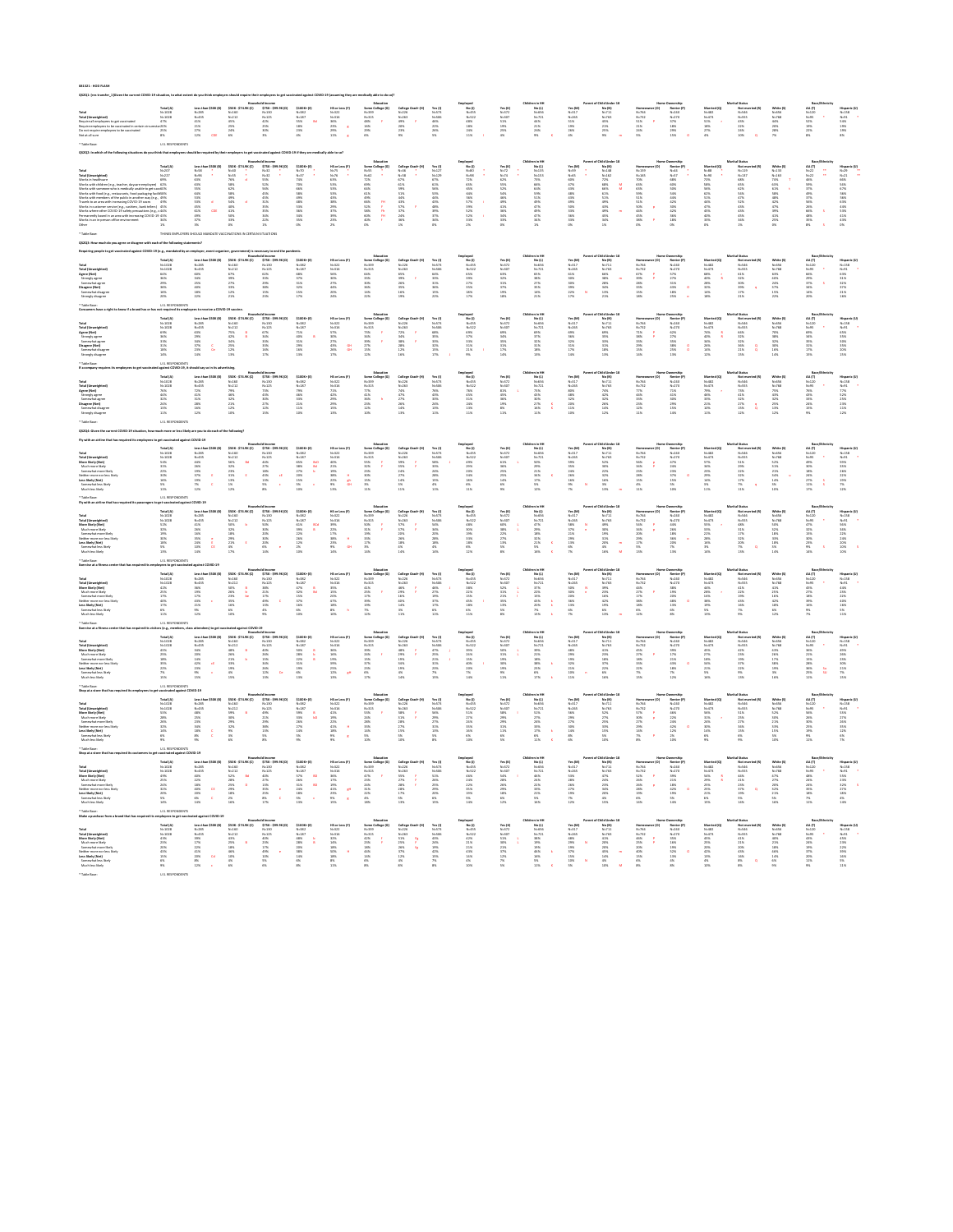## **081321 - HOD FLASH**

**QS2Q1: [res transfer\_1]Given the current COVID-19 situation, to what extent do you think employers should require their employees to get vaccinated against COVID-19 (assuming they are medically able to do so)?**

\* Table Base: U.S. RESPONDENTS

## **QS2Q2: In which of the following situations do you think that employees should be required by their employers to get vaccinated against COVID-19 if they are medically able to so?**

\* Table Base: THINKS EMPLOYERS SHOULD MANDATE VACCINATIONS IN CERTAIN SITUATIONS

# **QS2Q3: How much do you agree or disagree with each of the following statements?**

# **Requiring people to get vaccinated against COVID-19 (e.g., mandated by an employer, event organizer, government) is necessary to end the pandemic.**

#### **Consumers have a right to know if a brand has or has not required its employees to receive a COVID-19 vaccine.**

# \* Table Base: U.S. RESPONDENTS

# **If a company requires its employees to get vaccinated against COVID-19, it should say so in its advertising.**

\* Table Base: U.S. RESPONDENTS

# **QS2Q4: Given the current COVID-19 situation, how much more or less likely are you to do each of the following?**

## **Fly with an airline that has required its employees to get vaccinated against COVID-19**

#### \* Table Base: U.S. RESPONDENTS

# **Fly with an airline that has required its passengers to get vaccinated against COVID-19**

|                                                              |           |                            |                     | <b>Household Income</b>    |              |                | Education |                   |           | <b>Employed</b> |           | Children in HH |           |           |           | Home Ownership |             | <b>Marital Status</b> |           | Race/Ethnicity |              |
|--------------------------------------------------------------|-----------|----------------------------|---------------------|----------------------------|--------------|----------------|-----------|-------------------|-----------|-----------------|-----------|----------------|-----------|-----------|-----------|----------------|-------------|-----------------------|-----------|----------------|--------------|
|                                                              | Total (A) | <b>Less than \$50K (B)</b> | \$50K - \$74.9K (C) | <b>\$75K - \$99.9K (D)</b> | $$100K+$ (E) | HS or Less (F) |           | College Grad+ (H) | Yes (I)   | No (J)          | Yes (K)   | No (L)         | Yes (M)   | No (N)    |           | Renter (l      | Married (Q) | Not married (R)       | White (S) | AA (T)         | Hispanic (U) |
| Total                                                        | N=1028    | $N = 285$                  | N=160               | $N = 130$                  | $N = 382$    | $N = 322$      | $N = 339$ | $N = 226$         | $N = 573$ | $N = 455$       | $N = 372$ | N=656          | $N = 317$ | $N = 711$ | $N = 764$ | $N = 240$      | N=482       | $N = 546$             | $N = 656$ | N=120          | N=158        |
| <b>Total (Unweighted)</b>                                    | N=1028    | N=435                      | $N = 212$           | $N = 125$                  | N=187        | $N = 316$      | $N = 315$ | $N = 263$         | N=506     | $N = 522$       | $N = 307$ | N=721          |           | $N = 763$ | N=732     | N=270          | $N = 473$   | $N = 555$             | $N = 768$ | N=95           | N=91         |
| Require all employees to get vaccinated                      |           | 41%                        |                     |                            |              | 36%            |           | 49%               | 46%       | 48%             | 51%       | 44%            |           | 45%       |           |                |             | 43%                   | 44%       | 52%            |              |
| Require employees to be vaccinated in certain circumstal 20% |           |                            |                     | 25%                        | 18%          | 23%            | 16%       | 20%               | 22%       | 18%             | 19%       | 21%            | 19%       | 21%       | 21%       | 18%            | 18%         | 22%                   | 20%       | 19%            |              |
| Do not require employees<br>s to be vaccinated               |           |                            | 24%                 | 30%                        | 23%          | 29%            | 29%       | 23%               | 26%       | 24%             | 25%       | 26%            | 26%       | 25%       | 24%       | 29%            | 27%         | 24%                   | 28%       | 22%            | 19%          |
| Not at all sure                                              |           |                            |                     |                            |              | 11%            |           |                   |           | 11%             | 4%        |                |           | ዓ%        | 5%        | 15%            | 4%          | 10%                   | 7%        | 8%             | 8%           |

|                                                               |           |                     |                     | <b>Household Income</b> |             |                | Educatior        |                   |           | Employed |         | <b>Children in HH</b> |          | <b>Parent of Child Under 18</b> |               | <b>Home Ownership</b> |             | <b>Marital Status</b> |           | Race/Ethnicity |              |
|---------------------------------------------------------------|-----------|---------------------|---------------------|-------------------------|-------------|----------------|------------------|-------------------|-----------|----------|---------|-----------------------|----------|---------------------------------|---------------|-----------------------|-------------|-----------------------|-----------|----------------|--------------|
|                                                               | Total (A) | Less than \$50K (B) | \$50K - \$74.9K (C) | \$75K - \$99.9K (D)     | \$100K+ (E) | HS or Less (F) | Some College (G) | College Grad+ (H) | Yes (l)   |          | Yes (K) | No (L                 | Yes (M)  | No (N)                          | Homeowner (O) | Renter (P)            | Married (Q) | Not married (R)       | White (S) | AA (T)         | Hispanic (U) |
| <b>Total</b>                                                  | $N = 207$ | $N = 58$            |                     |                         |             | N=75           | N=55             | N=46              | $N = 127$ | N=80     |         | $N = 135$             | $N = 59$ | $N = 148$                       | $N = 159$     | $N = 44$              | N=88        | N=119                 | $N = 133$ | $N=22$         | N=29         |
| <b>Total (Unweighted)</b>                                     | $N=227$   |                     |                     |                         |             |                |                  | N=58.             | $N = 129$ |          |         | N=153                 | N=65     | $N = 162$                       | $N = 165$     |                       | N=90        | $N = 137$             | $N = 163$ |                |              |
| Works in healthcare                                           |           | 63%                 |                     |                         |             | 63%            |                  |                   | h /% l    |          |         |                       |          |                                 |               |                       |             |                       | 74%       |                |              |
| Works with children (e.g., teacher, daycare employee) 62%     |           |                     |                     |                         |             |                |                  |                   |           |          |         |                       |          |                                 |               |                       |             |                       |           |                |              |
| Works with someone who is medically unable to get vact 60%    |           | 55%                 | 62%                 | 56%                     | 66%         | 53%            | 64%              | 59%               | 56%       |          | 52%     |                       |          | 66%                             | 63%           | 50%                   | 56%         |                       | 61%       |                |              |
| Works with food (e.g., restaurants, food packaging facili 58% |           | 64%                 |                     |                         |             | 53%            |                  |                   | 53%       |          |         |                       |          |                                 |               |                       |             |                       |           |                |              |
| Works with members of the public in another way (e.g., 49%    |           | 53%                 | 49%                 |                         |             | 43%            |                  | 44%               | 44%       |          | 46%     |                       |          |                                 | 51%           | 44%                   | 51%         |                       | 48%       |                |              |
| Travels to an area with increasing COVID-19 cases             | - 49%     | 53%                 |                     |                         |             | 38%            | 56%              | 43%               | 43%       |          |         |                       |          |                                 |               |                       |             |                       |           |                |              |
| Works in customer service (e.g., cashiers, bank tellers) 45%  |           | 45%                 |                     |                         |             | 29%            | 52%              |                   | 18%       |          |         |                       |          |                                 |               |                       |             |                       | 4/%       |                |              |
| Works where other COVID-19 safety precautions (e.g., s 44%    |           | 61%                 | 41%                 |                         |             | 37%            | 58%              | 37%               | १९%       |          |         |                       |          |                                 |               |                       | 45%         |                       | 39%       | 66%            |              |
| Permanently based in an area with increasing COVID-19 43%     |           | 49%                 |                     |                         |             | 39%            | 50%              | 24%               | 37%       |          | 34%     |                       |          |                                 |               |                       |             |                       |           |                |              |
| Works in an in-person office environment                      | 34%       | 37%                 | 33%                 |                         |             | 23%            | 1በ%              | 36%               | 34%       |          | 33%     |                       |          |                                 | २८% २         | 18%                   |             |                       | 25%       |                | 43%          |
|                                                               |           |                     |                     |                         |             |                |                  |                   |           |          |         |                       |          |                                 |               |                       |             |                       |           |                |              |

#### \* Table Base: U.S. RESPONDENTS

| Exercise at a fitness center that has required its employees to get vaccinated against COVID-19 |  |  |
|-------------------------------------------------------------------------------------------------|--|--|
|                                                                                                 |  |  |

|                       |           |                     |                     |                     |                    |                |                  |           | `hildren in H |           | arent of Child Under 18^ | <b>Home Ownership</b> |         | <b>Marital Status</b> |       |             |                 |           |          |             |
|-----------------------|-----------|---------------------|---------------------|---------------------|--------------------|----------------|------------------|-----------|---------------|-----------|--------------------------|-----------------------|---------|-----------------------|-------|-------------|-----------------|-----------|----------|-------------|
|                       | Total (A) | Less than \$50K (B) | \$50K - \$74.9K (C) | \$75K - \$99.9K (D) | <b>\$100K+ (E)</b> | HS or Less (F) | Some College (G) |           | Yes (l)       |           | Yes (K)                  | No (L)                | Yes (M) | No (N)                |       | Married (Q) | Not married (R) | White (S) | AA (T)   | Hispanic (U |
| <b>Total</b>          | ∨=⊥∪∠ຽ    |                     |                     | 1=130               |                    | <b>\=322</b>   | N=339            |           | $N = 573$     | $N = 455$ | $N = 372$                | N=656                 |         | $N = 711$             |       |             |                 |           | N=120    | N=158       |
| Total (Unweightec     |           | N=435               | $N = 212$           | N=125               | N=187              | N=316          | $N = 315$        | $N = 263$ | $N = 506$     |           | N=307                    | $N = 721$             | N=265   | N=763                 | N=270 | N=473       | $N = 555$       | N=768     | $N = 95$ |             |
| Agree (Net)           |           |                     | 67%                 | 62%                 | 68%                | 56%            | 64%              | 65%       | 64%           | 20 כס     |                          |                       |         |                       |       |             |                 |           | 66%      |             |
| Strongly agree        | 36%       |                     | 39%                 | 33%                 |                    | 30%            | 33%              | 39%       | 33%           |           |                          | 38%                   |         |                       |       |             |                 |           |          |             |
| Somewhat agree        | 29%       |                     |                     | 29%                 | 31%                | 27%            | 30%              |           |               |           |                          |                       |         | 28%                   |       |             |                 |           |          |             |
| <b>Disagree (Net)</b> | 36%       |                     | 33%                 | 38%                 |                    | 44%            | 36%              | 35%       | 36%           |           |                          |                       |         |                       |       |             |                 |           |          |             |
|                       | 16%       |                     | 12%                 | 15%                 |                    | 20%            |                  | 16%       | 15%           |           |                          | 14%                   |         |                       |       |             |                 |           |          |             |
|                       |           |                     |                     |                     |                    | 24%            |                  |           |               |           | 18%                      | <b>4170</b>           |         |                       |       |             |                 |           |          |             |

|                          |           |                     |                     | Household Income    |              |                       | Educatic         |                   |           | стрюуе    |           | Children in HH |              | Parent of Child Under 18 |               | <b>Home Ownership</b> |             | <b>Marital Status</b> |           |           |             |
|--------------------------|-----------|---------------------|---------------------|---------------------|--------------|-----------------------|------------------|-------------------|-----------|-----------|-----------|----------------|--------------|--------------------------|---------------|-----------------------|-------------|-----------------------|-----------|-----------|-------------|
|                          | Total (A) | Less than \$50K (B) | \$50K - \$74.9K (C) | \$75K - \$99.9K (D) | $$100K+ (E)$ | <b>HS or Less (F)</b> | Some College (G) | College Grad+ (H) | Yes (I,   | No (J)    | Yes (K)   | No (L)         | Yes (M)      | No (N)                   | Homeowner (O) | Renter (P             | Married (Q) | Not married (R)       | White (S) | AA (T)    | Hispanic (U |
| Total                    |           |                     |                     |                     |              | $N = 322$             |                  |                   | $N = 573$ | $N = 455$ | $N = 372$ | $N = 656$      | $N = 317$    | N=711                    |               |                       | N=482       | N=546                 |           | $N = 120$ | N=158       |
| <b>Total (Unweighted</b> | N=1028    | $N = 435$           | $N=212$             |                     | N=187        | $N = 316$             | N=315            | $N = 263$         | N=506     | $N = 522$ | $N = 307$ | $N = 721$      | <b>J=265</b> | $N = 763$                |               | $N = 270$             | $N = 473$   | $N = 555$             | N=768     | $N = 95$  |             |
| Agree (Net)              |           | 63%                 | 75%                 | 67%                 |              | 57%                   |                  | 72%               | 58%       | 69%       | 69%       | 69%            |              | 69%                      |               | 62%                   | 74%         | 64%                   |           | 69%       |             |
| Strongly agree           |           | 29%                 | 42%                 | 34%                 |              | 30%                   |                  | -34%              |           |           | 34%       |                |              | 35%                      |               |                       |             |                       |           |           |             |
| Somewhat agree           |           | 34%                 | 34%                 |                     |              | 27%                   |                  | 38%               |           |           | 35%       |                |              | 33%                      |               |                       |             |                       |           | 35%       |             |
| Disagree (Net)           |           |                     | 25%                 |                     |              | 43%                   | 27%              | 28%               | 32%       | 31%       | 31%       | 31%            |              | 31%                      | 29%           | 38%                   | 26%         | 36%                   | 30%       | 31%       |             |
| Somewhat disagre         | 18%       | 23%                 | 12%                 |                     | 16%          | 26%                   | 15%              | 12%               | 15%       |           | 17%       | 18%            |              | 18%                      | 15%           | 25%                   | 14%         |                       | 16%       |           |             |
| Strongly disagree        |           |                     | 13%                 |                     |              | 17%                   |                  |                   |           |           | 14%       |                |              | 13%                      | 14%           |                       |             |                       | 14%       |           |             |

|                             |            |                     |                     |                     |              |                      |           |           |           | <b>Employer</b> |           | <b>Children in HH</b> |           | Parent of Child Under 10 |           | <b>Home Ownershi</b> |             | <b>Marital Status</b> |           | <b>Race/Ethnic</b> |              |
|-----------------------------|------------|---------------------|---------------------|---------------------|--------------|----------------------|-----------|-----------|-----------|-----------------|-----------|-----------------------|-----------|--------------------------|-----------|----------------------|-------------|-----------------------|-----------|--------------------|--------------|
|                             | Total (A)  | Less than \$50K (B) | \$50K - \$74.9K (C) | \$75K - \$99.9K (D) | $$100K+$ (E) | <b>HS or Less (F</b> |           |           | Yes (I)   | No (J)          | Yes (K)   | No (L)                | Yes (M) l | No (N)                   |           | Renter (P)           | Married (Q) | Not married (R)       | White (S) | AA (T)             | Hispanic (U) |
| <b>Total</b>                | $N = 1028$ |                     | $N = 160$           | N=130               | $N = 382$    | $N = 322$            | $N = 339$ | $N=226$   | $N = 573$ | $N = 455$       | $N = 372$ | $N = 656$             | N=317     | $N = 711$                | N=764     | $N = 240$            | N=482       | $N = 546$             | $N = 656$ | $N = 120$          |              |
| <b>Total (Unweighter</b>    | N=1028     |                     | $N = 212$           | $N = 125$           | N=187        | $N = 316$            | $N = 315$ | $N = 263$ | N=506     | $N = 522$       | $N = 307$ | $N = 721$             | N=265     | $N = 763$                | $N = 732$ | $N = 270$            | $N = 473$   | $N = 555$             | $N = 768$ | $N = 95$           | N=91         |
| Agree (Net)                 |            |                     |                     |                     |              | 71%                  |           | 74%       |           | 76%             | 81%       | 73%                   | 80%       | 74%                      |           |                      |             |                       |           |                    |              |
| Strongly agree              | 44%        |                     |                     |                     |              | 42%                  |           |           |           | 45%             | 45%       | 43%                   | 48%       | 42%                      | 44%       |                      |             |                       | 43%       |                    |              |
| Somewhat agree              |            |                     |                     |                     |              | 29%                  |           |           |           |                 | 36%       | 30%                   | 32%       | 32%                      | 33%       |                      |             |                       |           |                    |              |
| <b>Disagree (Net)</b>       | 24%        |                     |                     |                     |              |                      |           | 26%       | 24%       | 24%             | 19%       | 27%                   | 20%       | 26%                      |           | 29%                  |             |                       |           |                    |              |
|                             |            |                     |                     |                     |              |                      |           |           |           | 13%             | 8%        | 16%                   | 11%       | 14%                      |           |                      |             |                       |           |                    |              |
| ongly disagree <sup>.</sup> |            |                     |                     |                     |              |                      |           |           |           | 11%             | 11%       | 11%                   | 10%       | 12%                      |           |                      |             |                       |           |                    |              |

|                                |            | <b>Household Income</b> |               |                         |            |  |                | Education    |           |         | Employeu  |           | Children in HH |           |           |       |            |             | <b>Marital Status</b> |           | <b>Race/Ethnic</b> |                     |
|--------------------------------|------------|-------------------------|---------------|-------------------------|------------|--|----------------|--------------|-----------|---------|-----------|-----------|----------------|-----------|-----------|-------|------------|-------------|-----------------------|-----------|--------------------|---------------------|
|                                | Total (A)  | Less than \$50K (B)     | - \$74.9K (C) | <b>\$75K-\$99.9K(L)</b> | \$100K+(E) |  | HS or Less (F) | Some College |           | Yes (I) | No (J)    | Yes (K)   | No (L)         | Yes (M)   | No (N)    |       | Renter (P) | Married (Q) | Not married (R)       | White (S) | AA (T)             | <b>Hispanic (U)</b> |
| <b>Total</b>                   | N=1028     |                         | $N = 160$     | $N = 130$               |            |  | $N = 322$      | N=339        | $N = 226$ | N=573   | $N = 455$ | $N = 372$ | $N = 656$      | $N = 317$ | $N = 711$ | 1=764 | $N = 240$  | N=482       |                       |           | $N = 120$          | N=158               |
| <b>Total (Unweighted)</b>      | $N = 1028$ | N=435                   | N=212         | $N = 125$               | N=187      |  | $N = 316$      | $N = 315$    | $N = 263$ | N=506   | $N = 522$ | $N = 307$ | $N = 721$      | N=265     | $N = 763$ | N=732 | $N = 270$  | $N = 473$   | $N = 555$             | N=768     | N=95               |                     |
| <b>More likely (Net)</b>       |            | 44%                     | 56%           | 44%                     |            |  | 40%            |              | 59%       |         | 49%       |           |                | 59%       | 52%       | 56%   |            | 57%         |                       | 52%       |                    |                     |
| Much more likely               |            | 26%                     |               |                         |            |  | 21%            |              |           |         | 29%       | 36%       | 29%            |           | 30%       | 34%   | 24%        | 34%         |                       |           |                    |                     |
|                                |            | 19%                     |               | 18%                     |            |  | 19%            |              | 24%       |         | 20%       | 25%       | 21%            | 24%       | 22%       | 23%   |            | ,२%         |                       |           |                    |                     |
| - Neither more nor less likely |            |                         |               |                         |            |  |                |              | 27%       | 28%     |           | 25%       | 34%            | 26%       | 32%       | 28%   |            |             |                       | 34%       | <b>24%</b>         |                     |
| Less likely (Net)              |            | 19%                     | 13%           | ⊥3%                     | 15%        |  | 22%            |              | 14%       | 15%     | 18%       | 14%       | 17%            | 16%       | 16%       | 15%   | 15%        | 14%         | 17%                   | 14%       |                    |                     |
| Somewhat less likel            |            |                         |               |                         |            |  |                |              |           |         | 6%        | 6%        | 5%             | 9% —      |           |       |            |             |                       |           |                    |                     |
| Much less likely               |            |                         |               |                         |            |  |                |              |           |         |           | 9%        |                |           | 13%       |       |            |             |                       |           |                    |                     |

#### \* Table Base: U.S. RESPONDENTS

# **Shop at a store that has required its employees to get vaccinated against COVID-19**

|                             |           |                     |                     | <b>Household Income</b> |            |                       | Education        |           |           | Emmlau |           | Children in HH |           | of Child Under 18 |           | <b>Home Ownership</b> |             | <b>Marital Status</b> |           | Race/Ethnicity |              |
|-----------------------------|-----------|---------------------|---------------------|-------------------------|------------|-----------------------|------------------|-----------|-----------|--------|-----------|----------------|-----------|-------------------|-----------|-----------------------|-------------|-----------------------|-----------|----------------|--------------|
|                             | Total (A) | Less than \$50K (B) | \$50К - \$74.9К (С) | \$75K - \$99.9K (D)     | \$100K+(E) | <b>HS or Less (F)</b> | Some College (G) | Grad+ (H) | Yes I     | No (J) | Yes (K)   | No (L)         | Yes (M)   | No (N)            |           | Renter (P             | Married (Q) | Not married (R)       | White (S) | AA (T)         | Hispanic (U) |
| Total                       | N=1028    | $N = 285$           | N=160               |                         | $N = 382$  | $N = 322$             |                  |           | N=573     | N=455  | $N = 372$ | N=656          | $N = 317$ | N=711             | N=764     | $N=240$               | N=482       | N=546                 | $N = 656$ | $N = 120$      |              |
| <b>Total (Unweighted</b>    | N=1028    | N=435               | $N = 212$           |                         |            | $N = 316$             |                  |           | $N = 506$ | N=522  | $N = 307$ | $N = 721$      | $N = 265$ | $N = 763$         | $N = 732$ | N=270                 | $N = 473$   | $N = 555$             | $N = 768$ | N=95           |              |
| More likely (Net)           |           |                     | 50%                 | 50%                     | 61%        | 39%                   |                  |           |           |        | 60%       | 47%            | 58%       | 49%               | 54%       | 44%                   | 55%         |                       | 50%       |                |              |
| Much more likely            |           |                     |                     |                         |            |                       |                  |           |           |        |           |                |           |                   |           | <b>26%</b>            |             |                       |           |                |              |
| Somewhat more likel         |           |                     | 18%                 |                         |            |                       |                  |           |           |        |           |                |           |                   |           | 18%                   |             |                       | 18%       |                |              |
| Neither more nor less likel |           |                     | 29%                 |                         |            |                       |                  |           |           |        | 27%       |                |           |                   | 29%       |                       | 28%         |                       | 33%       |                |              |
| Less likely (Net)           |           | 24%                 |                     |                         |            |                       |                  | -189      |           |        |           |                |           |                   |           |                       |             |                       |           |                |              |
| Somewhat less likel         |           | 10%                 | 4%                  |                         |            |                       |                  | 4%        | 4%        |        |           |                |           |                   |           |                       |             |                       |           |                |              |
| Much less likely            |           |                     |                     |                         |            |                       |                  |           |           |        | ୪%        |                |           |                   |           |                       |             |                       |           |                |              |

### \* Table Base: U.S. RESPONDENTS

|                              |           |                     |                     | <b>Household Income</b> |             |                       |                  |           |         | <b>Employe</b> |           |           | Children in HH |           | Parent of Child Under 18 |              |           |             | <b>Marital Status</b> |           |           |             |
|------------------------------|-----------|---------------------|---------------------|-------------------------|-------------|-----------------------|------------------|-----------|---------|----------------|-----------|-----------|----------------|-----------|--------------------------|--------------|-----------|-------------|-----------------------|-----------|-----------|-------------|
|                              | Total (A) | Less than \$50K (B) | \$50K - \$74.9K (C) | \$75K - \$99.9K (D)     | \$100K+ (E) | <b>HS or Less (F)</b> | Some College (G) |           | Yes (l) |                |           | Yes (K)   | No (L)         | Yes (M)   | No (N                    | Homeowner (O | Renter (F | Married (Q) | Not married (R)       | White (S) | AA (T)    | Hispanic (U |
| <b>Total</b>                 |           |                     |                     |                         | リーコ ロウ      | $N = 322$             | N=339            | N=226     | N=573   |                | $N = 455$ | N=372     | N=656          | N=317     | $N = 711$                | N=764        | $N = 240$ | N=482       | N=546                 |           | $N = 120$ | N=158       |
| <b>Total (Unweighted</b>     | N=1028    |                     | $N = 212$           | N=125                   | N=187       | $N = 316$             | $N = 315$        | $N = 263$ | N=506   |                | $N = 522$ | $N = 307$ | $N = 721$      | $N = 265$ | $N = 763$                | $N = 732$    | $N=270$   | $N = 473$   | $N = 555$             |           | N=95      |             |
| More likely (Net)            |           |                     |                     |                         |             |                       |                  |           |         |                | 38%       |           |                |           | 39%                      |              |           | 44%         |                       |           |           |             |
| Much more likelv             |           |                     |                     |                         |             |                       |                  |           |         |                |           |           |                |           | 23%                      |              |           |             |                       |           |           |             |
| iomewhat more likel          |           |                     |                     |                         |             |                       |                  |           |         |                |           |           | 15%            |           | 16%                      |              | -20%      |             |                       | 16%       |           |             |
| Neither more nor less likely |           |                     |                     |                         |             |                       |                  |           |         |                |           |           |                |           |                          |              |           |             |                       |           |           |             |
| Less likely (Net)            |           |                     |                     |                         |             | 18%                   |                  |           |         |                |           |           |                |           | 19%                      |              |           | 19%         | 16%                   | 18%       | 16%       |             |
| Somewhat less likely         |           |                     | -6%                 |                         |             |                       |                  |           |         |                |           |           |                |           |                          |              | 6%        |             |                       |           |           |             |
| Much less likel              |           |                     |                     |                         |             |                       |                  |           |         |                |           |           |                |           |                          |              |           |             |                       |           |           |             |

|                              |            |                     |                     | <b>Household Income</b> |             |                       |                  |                   |           | <b>Employe</b> |           | Children in HH |           |           |               |            |             |                 |           | <b>Race/Ethnicit</b> |              |
|------------------------------|------------|---------------------|---------------------|-------------------------|-------------|-----------------------|------------------|-------------------|-----------|----------------|-----------|----------------|-----------|-----------|---------------|------------|-------------|-----------------|-----------|----------------------|--------------|
|                              | Total (A)  | Less than \$50K (B) | \$50K - \$74.9K (C) | \$75K - \$99.9K (D)     | \$100K+ (E) | <b>HS or Less (F)</b> | Some College (G) | College Grad+ (H) | Yes (I)   | No (J)         | Yes (K)   | No (L)         | Yes (M)   | No (N)    | Homeowner (O) | Renter (P) | Married (Q) | Not married (R) | White (S) | AA (T)               | Hispanic (U) |
| <b>Total</b>                 | N=1028     | N=285               | $N = 160$           | $1 = 130$               | NI-287.     | $N = 322$             | $N = 339$        | $N = 226$         | $N = 573$ | $N = 455$      | $N = 372$ | $N = 656$      | $N = 317$ | $N = 711$ | $N = 764$     | $N = 240$  | N=482       | N=546           | $N = 656$ | $N = 120$            | N=158        |
| <b>Total (Unweighted</b>     | $N = 1028$ | N=435               | $N = 212$           | $N = 125$               | $N = 187$   | $N = 316$             | $N = 315$        | N=263             | N=506     | $N = 522$      | $N = 307$ | $N = 721$      | $N = 265$ | $N = 763$ | N=732         | $N = 270$  | N=473       | $N = 555$       | N=768     | N=95                 | N=91         |
| More likely (Net)            | 43%        | 34%                 | 48%                 |                         |             | 36%                   |                  | 48%               | 47%       | 39%            | 50%       | 39%            | 48%       | 41%       | 45%           |            |             |                 | 43%       |                      |              |
| Much more likelv             |            |                     | <b>26%</b>          |                         |             |                       |                  |                   |           |                |           | 21%            |           | 23%       |               |            |             |                 |           |                      |              |
| Somewhat more likely         | 18%        | 14%                 |                     |                         |             | 19%                   |                  | 19%               |           | 15%            | 19%       | 18%            | 19%       | 18%       | 18%           |            |             |                 |           |                      |              |
| Neither more nor less likely | 35%        |                     |                     |                         |             | 39%                   |                  |                   |           | 40%            | 30%       | 38%            |           | 37%       | 33%           |            |             |                 | 38%       |                      |              |
| Less likely (Net)            |            |                     |                     |                         |             |                       |                  |                   | 23%       | 20%            | 19%       |                |           | 22%       |               | 18%        |             |                 |           |                      |              |
| Somewhat less like           |            |                     |                     |                         |             |                       |                  |                   |           |                |           | 6%             | 10%       |           |               |            |             |                 |           |                      |              |
| Much less likely             |            |                     |                     |                         |             |                       |                  |                   |           |                |           |                |           | 16%       |               |            |             |                 |           |                      |              |

### \* Table Base: U.S. RESPONDENTS

|                              |           |                            |                     | Household Income    |            |                      |           |           |           | npioye    |           |           |           |           |           |                  |             | <b>Marital Status</b> |           | <b>Race/Ethnic</b> |              |
|------------------------------|-----------|----------------------------|---------------------|---------------------|------------|----------------------|-----------|-----------|-----------|-----------|-----------|-----------|-----------|-----------|-----------|------------------|-------------|-----------------------|-----------|--------------------|--------------|
|                              | Total (A) | <b>Less than \$50K (B)</b> | \$50K - \$74.9K (C) | \$75K - \$99.9K (D) | \$100K+(E) | <b>HS or Less (F</b> |           |           | Yes (l    | No (J)    | Yes (K)   | No (L)    | Yes (M)   | No (N)    |           | <b>Renter (P</b> | Married (Q) | Not married (R)       | White (S) | AA (T)             | Hispanic (U) |
| <b>Total</b>                 | N=1028    | N=285.                     | N=160               | $N = 130$           | $N = 382$  | $N = 322$            | N=339     | $N = 226$ | $N = 573$ | $N = 455$ | $N = 372$ | $N = 656$ | $N = 317$ | $N = 711$ |           | $N = 240$        | N=482       | N=546                 | N=656     | $N = 120$          | N=158.       |
| <b>Total (Unweighted)</b>    | N=1028    | N=435                      | $N = 212$           | $N = 125$           | $N = 187$  | $N = 316$            | $N = 315$ | $N = 263$ | $N = 506$ | $N = 522$ | $N = 307$ | $N = 721$ | N=265     | $N = 763$ | $N = 732$ | $N = 270$        | $N = 473$   | $N = 555$             | $N = 768$ | $N = 95$           | ע≘91         |
| More likely (Net)            |           |                            |                     | 49%                 |            | 41%                  |           |           |           | 51%       | 58%       |           |           | 52%       |           | 46%              | 56%         |                       | 52%       | 56%                |              |
| Much more likely             |           |                            |                     |                     |            | 19%                  |           |           | 29%       |           | 29%       |           |           | 27%       |           |                  | 31%         | 25%                   | 30%       | 26%                |              |
| Somewhat more likely         |           |                            |                     |                     |            |                      |           |           |           |           | 29%       |           |           | 25%       |           |                  | 24%         |                       |           |                    |              |
| Neither more nor less likely |           |                            |                     |                     |            |                      |           |           |           |           |           |           |           | 33%       | 29%       | 42%              | 30%         | 34%                   | 33%       |                    |              |
| Less likely (Net)            |           |                            |                     |                     |            | 18%                  |           | 15%       | 13%.      |           |           | 17%       | 1 4 %     | 15%       | 14%       | 12%              | 14%         | 15%                   | 15%       | 19%                |              |
| Somewhat less like           |           | 8% <b>X</b>                | 3%                  |                     |            |                      |           |           |           |           | 6%        |           |           | 5%        |           |                  |             |                       |           |                    |              |
| Much less likel              |           |                            |                     |                     |            | 9%                   |           |           |           |           | <b>CO</b> | <b>1%</b> | 6%        | 10%       | 8%        | 10%              | 9% .        |                       | 10%       |                    |              |

| Shop at a store that has required its customers to get vaccinated against COVID-19 |           |                     |                     |                         |             |                       |                  |                   |         |                 |           |                       |           |                                 |              |                       |             |                       |           |                |             |
|------------------------------------------------------------------------------------|-----------|---------------------|---------------------|-------------------------|-------------|-----------------------|------------------|-------------------|---------|-----------------|-----------|-----------------------|-----------|---------------------------------|--------------|-----------------------|-------------|-----------------------|-----------|----------------|-------------|
|                                                                                    |           |                     |                     | <b>Household Income</b> |             |                       | Educatior        |                   |         | <b>Employed</b> |           | <b>Children in HH</b> |           | <b>Parent of Child Under 18</b> |              | <b>Home Ownership</b> |             | <b>Marital Status</b> |           | Race/Ethnicity |             |
|                                                                                    | Total (A) | Less than \$50K (B) | \$50K - \$74.9K (C) | \$75K - \$99.9K (D)     | \$100K+ (E) | <b>HS or Less (F)</b> | Some College (G) | College Grad+ (H) | Yes (I) | No (J)          | Yes (K)   | No (L)                | Yes (M)   | No (N)                          | Homeowner (0 | Renter (l             | Married (Q) | Not married (R)       | White (S) | AA (T)         | Hispanic (U |
| <b>Total</b>                                                                       | N=1028    |                     | $N = 160$           | N=130                   | $N = 382$   | $N = 322$             | N=339            | N=226             | N=573   | N=455           | $N = 372$ | $N = 656$             | $N = 317$ | $N = 711$                       | N=764        | N=240                 | $N = 482$   | N=546                 | N=656     | N=120          | $N = 158$   |
| Total (Unweighted                                                                  | N=1028    | N=435               | $N = 212$           | $N = 125$               | $N = 187$   | $N = 316$             | $N = 315$        | $N = 263$         | $N=506$ | $N = 522$       | $N = 307$ | $N = 721$             | $N = 265$ | $N = 763$                       | $N = 732$    | $N = 270$<br>$N-Z/L$  | $N = 473$   | $N = 555$             | $N = 768$ | $N=95$         | $N = 91$    |
| More likely (Net)                                                                  | 49%       |                     | 52%                 | 40%                     | 57%         | 36%                   |                  |                   |         | 46%             | 54%       | 46%                   |           | 47%                             | 52%          | 39%                   | 54%         | 44%                   | 47%       | 48%            |             |
| Much more likely                                                                   | 25%       |                     | 28%                 |                         | 26%         | L/%                   |                  |                   |         | 24%             | 28%       |                       |           | 24%                             | 269          |                       |             | 21%                   | 27%       | 24%            |             |
| Somewhat more likely                                                               | 24%       | 18%                 | 25%                 | 13%                     | 31%         | 19%                   |                  |                   |         | 22%             | 26%       |                       |           | 23%                             | Z07          | 18%                   |             |                       | 20%       | 24%            |             |
| Neither more nor less likely                                                       | 32%       |                     | 29%                 | 35%                     | 24%         | 4 L 70                |                  |                   |         |                 | 29%       |                       |           | 34%                             | 28%          | 42%                   | 25%         | 37%                   | 32%       |                |             |
| Less likely (Net)                                                                  | 20%       |                     | 18%                 | 25%                     | 18%         | 23%                   |                  |                   |         |                 | 18%       |                       |           | 20%                             | 19%          | 19%                   | 21%         | 19%                   | 21%       | 18%            |             |
| Somewhat less likely                                                               | 5%        | 6%                  |                     | 8% -                    |             |                       |                  |                   |         |                 |           |                       |           |                                 | 6%           |                       | 6%          |                       | 5%        |                |             |
| Much less likely                                                                   | 14%       | 14%                 | 16%                 |                         |             |                       |                  |                   |         |                 |           |                       |           | 15%                             |              |                       | 15%         | 14%                   | 16%       |                |             |

\* Table Base: U.S. RESPONDENTS

| Make a purchase from a brand that has required its employees to get vaccinated against COVID-19 |            |                     |                    |                         |             |                       |                  |                      |           |               |           |                |           |                                 |             |                       |             |                       |           |                |          |
|-------------------------------------------------------------------------------------------------|------------|---------------------|--------------------|-------------------------|-------------|-----------------------|------------------|----------------------|-----------|---------------|-----------|----------------|-----------|---------------------------------|-------------|-----------------------|-------------|-----------------------|-----------|----------------|----------|
|                                                                                                 |            |                     |                    | <b>Household Income</b> |             |                       | Educatio         |                      |           | Employed      |           | Children in HH |           | <b>Parent of Child Under 18</b> |             | <b>Home Ownership</b> |             | <b>Marital Status</b> |           | Race/Ethnicity |          |
|                                                                                                 | Total (A)  | Less than \$50K (B) | S50K - \$74.9K (C) | \$75K - \$99.9K (D)     | \$100K+ (E) | <b>HS or Less (F)</b> | Some College (G) | College<br>Grad+ (H) | Yes (l)   | <b>No (J)</b> | Yes (K)   | No (L)         |           | No (N)                          | Homeowner ( | Renter (P             | Married (Q) | Not married (R)       | White (S) | AA (T)         | Hispanic |
| <b>Total</b>                                                                                    | N=1028     | N=285               | $N = 160$          | N=130                   |             | $N = 322$             | N=339            | $N = 226$            | $N = 573$ | $N = 455$     | $N = 372$ | $N = 656$      | $N = 317$ | $N = 711$                       | $N = 764$   | N=240                 | N=482       | N=546                 | N=656     | $N = 120$      |          |
| Total (Unweighted                                                                               | $N = 1028$ | N=435               | $N = 212$          | $N = 125$               | N=187       | $N = 316$             | $N = 315$        | $N = 263$            | N=506     | $N = 522$     | $N = 307$ | $N = 721$      | $N = 265$ | $N = 763$                       | $N = 732$   | N=270                 | $N = 473$   | $N = 555$             | N=768     | $N=95$         | N=91     |
| More likely (Net)                                                                               | 43%        | 39%                 | 43%                | 40%                     |             | 32%                   | 42%              | 1%،                  | 43%       | 42%           | 51%       | 38%            | 48%       | 41%                             |             |                       | 45%         |                       | 40%       | 43%            | 45%      |
| Much more likely                                                                                | 23%        | 17%                 | 25% -              | 23%                     |             | 14%                   |                  |                      |           | 21%           | 30%       | 19%            | 29%       | 20%                             |             |                       | 25%         |                       | 21%       | 24%            |          |
| Somewhat more like                                                                              | 20%        | 22%                 | 18%                |                         |             | 18%                   | 18%              | 26%                  | 19%       | 21%           | 21%       | 19%            |           | 20%                             |             |                       | 20%         |                       | 18%       | 19%            |          |
| Neither more nor less likely                                                                    | 43%        | 41%                 | 46%                | 49%                     |             | 50%                   | 44 <sup>9</sup>  |                      |           | 43%           | 37%       | 46%            | }7%       | 45%                             | 40%         |                       |             |                       | 46%       |                | 39%      |
| Less likely (Net)                                                                               | 15%        | 20%                 | 109                |                         |             | 18%                   |                  |                      |           | 14%           | 12%       | 16%            |           | 14%                             |             |                       |             |                       | 14%       |                |          |
| Somewhat less likely                                                                            | 6%         |                     |                    |                         |             | 8%                    |                  |                      |           | $4\%$         | 7%        |                | 10%       |                                 | -6%         | 4%                    |             |                       | 6%        | 110/           |          |
| Much less likely                                                                                |            | 12%                 |                    |                         |             | 11%                   |                  |                      |           | 10%           | 5%        | 11%            |           |                                 |             |                       | 10%         |                       |           |                | 11%      |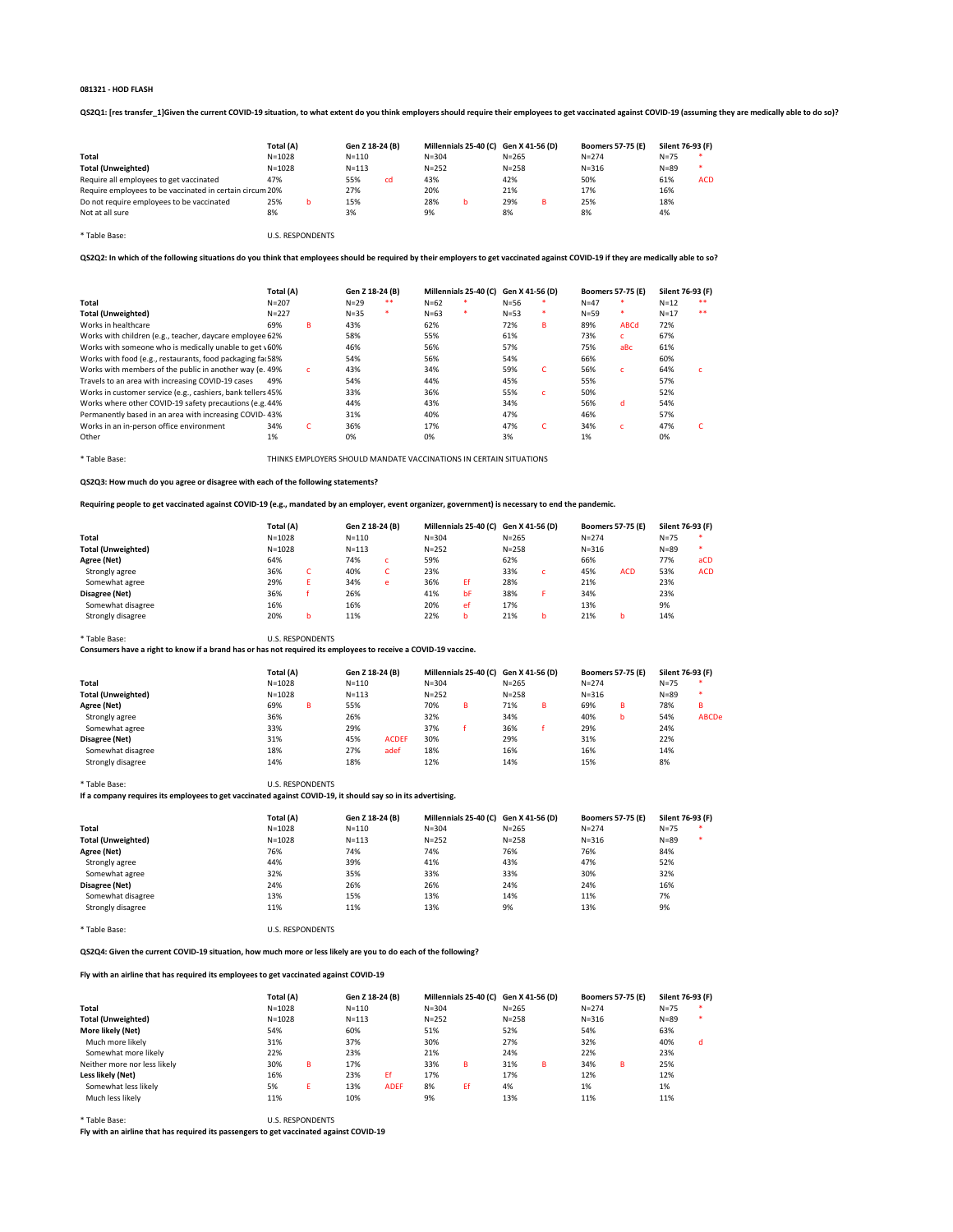#### **081321 - HOD FLASH**

QS2Q1: [res transfer\_1]Given the current COVID-19 situation, to what extent do you think employers should require their employees to get vaccinated against COVID-19 (assuming they are medically able to do so)?

|                                                          | Total (A)        |   | Gen Z 18-24 (B) |    |           | Millennials 25-40 (C) Gen X 41-56 (D) |           |   | <b>Boomers 57-75 (E)</b> | Silent 76-93 (F) |            |
|----------------------------------------------------------|------------------|---|-----------------|----|-----------|---------------------------------------|-----------|---|--------------------------|------------------|------------|
| <b>Total</b>                                             | $N = 1028$       |   | $N = 110$       |    | $N = 304$ |                                       | $N = 265$ |   | $N = 274$                | $N = 75$         |            |
| <b>Total (Unweighted)</b>                                | $N = 1028$       |   | $N = 113$       |    | $N = 252$ |                                       | $N = 258$ |   | $N = 316$                | $N = 89$         |            |
| Require all employees to get vaccinated                  | 47%              |   | 55%             | cd | 43%       |                                       | 42%       |   | 50%                      | 61%              | <b>ACD</b> |
| Require employees to be vaccinated in certain circum 20% |                  |   | 27%             |    | 20%       |                                       | 21%       |   | 17%                      | 16%              |            |
| Do not require employees to be vaccinated                | 25%              | b | 15%             |    | 28%       | b                                     | 29%       | B | 25%                      | 18%              |            |
| Not at all sure                                          | 8%               |   | 3%              |    | 9%        |                                       | 8%        |   | 8%                       | 4%               |            |
|                                                          |                  |   |                 |    |           |                                       |           |   |                          |                  |            |
| * Table Base:                                            | U.S. RESPONDENTS |   |                 |    |           |                                       |           |   |                          |                  |            |

QS2Q2: In which of the following situations do you think that employees should be required by their employers to get vaccinated against COVID-19 if they are medically able to so?

|                                                             | Total (A) |   | Gen Z 18-24 (B) |       |          | Millennials 25-40 (C) | Gen X 41-56 (D) |              | <b>Boomers 57-75 (E)</b> |                 | Silent 76-93 (F) |      |
|-------------------------------------------------------------|-----------|---|-----------------|-------|----------|-----------------------|-----------------|--------------|--------------------------|-----------------|------------------|------|
| <b>Total</b>                                                | $N = 207$ |   | $N=29$          | $***$ | $N = 62$ |                       | $N=56$          | ∗            | $N = 47$                 |                 | $N=12$           | $**$ |
| <b>Total (Unweighted)</b>                                   | $N = 227$ |   | $N=35$          | ∗     | $N=63$   | $\ast$                | $N=53$          | $\ast$       | $N = 59$                 | ∗               | $N=17$           | $**$ |
| Works in healthcare                                         | 69%       | B | 43%             |       | 62%      |                       | 72%             | B            | 89%                      | ABCd            | 72%              |      |
| Works with children (e.g., teacher, daycare employee 62%    |           |   | 58%             |       | 55%      |                       | 61%             |              | 73%                      | C.              | 67%              |      |
| Works with someone who is medically unable to get \60%      |           |   | 46%             |       | 56%      |                       | 57%             |              | 75%                      | a <sub>Bc</sub> | 61%              |      |
| Works with food (e.g., restaurants, food packaging factors) |           |   | 54%             |       | 56%      |                       | 54%             |              | 66%                      |                 | 60%              |      |
| Works with members of the public in another way (e. 49%     |           |   | 43%             |       | 34%      |                       | 59%             | C            | 56%                      | $\mathsf{C}$    | 64%              |      |
| Travels to an area with increasing COVID-19 cases           | 49%       |   | 54%             |       | 44%      |                       | 45%             |              | 55%                      |                 | 57%              |      |
| Works in customer service (e.g., cashiers, bank tellers 45% |           |   | 33%             |       | 36%      |                       | 55%             | $\mathbf{C}$ | 50%                      |                 | 52%              |      |
| Works where other COVID-19 safety precautions (e.g. 44%     |           |   | 44%             |       | 43%      |                       | 34%             |              | 56%                      | d               | 54%              |      |
| Permanently based in an area with increasing COVID-43%      |           |   | 31%             |       | 40%      |                       | 47%             |              | 46%                      |                 | 57%              |      |
| Works in an in-person office environment                    | 34%       |   | 36%             |       | 17%      |                       | 47%             | $\mathsf{C}$ | 34%                      | C               | 47%              |      |
| Other                                                       | 1%        |   | 0%              |       | 0%       |                       | 3%              |              | 1%                       |                 | 0%               |      |

\* Table Base: THINKS EMPLOYERS SHOULD MANDATE VACCINATIONS IN CERTAIN SITUATIONS

**QS2Q3: How much do you agree or disagree with each of the following statements?**

**Requiring people to get vaccinated against COVID-19 (e.g., mandated by an employer, event organizer, government) is necessary to end the pandemic.**

|                           | Total (A)  | Gen Z 18-24 (B) |              |           | Millennials 25-40 (C) Gen X 41-56 (D) |           |           | <b>Boomers 57-75 (E)</b> | Silent 76-93 (F) |            |
|---------------------------|------------|-----------------|--------------|-----------|---------------------------------------|-----------|-----------|--------------------------|------------------|------------|
| Total                     | $N = 1028$ | $N = 110$       |              | $N = 304$ |                                       | $N = 265$ | $N = 274$ |                          | $N = 75$         |            |
| <b>Total (Unweighted)</b> | $N = 1028$ | $N = 113$       |              | $N = 252$ |                                       | $N = 258$ | $N = 316$ |                          | $N = 89$         |            |
| Agree (Net)               | 64%        | 74%             | $\mathsf{C}$ | 59%       |                                       | 62%       | 66%       |                          | 77%              | aCD        |
| Strongly agree            | 36%        | 40%             | ◡            | 23%       |                                       | 33%       | 45%       | <b>ACD</b>               | 53%              | <b>ACD</b> |
| Somewhat agree            | 29%        | 34%             | e            | 36%       | Εf                                    | 28%       | 21%       |                          | 23%              |            |
| <b>Disagree (Net)</b>     | 36%        | 26%             |              | 41%       | bF                                    | 38%       | 34%       |                          | 23%              |            |
| Somewhat disagree         | 16%        | 16%             |              | 20%       | ef                                    | 17%       | 13%       |                          | 9%               |            |
| Strongly disagree         | 20%        | 11%             |              | 22%       | b                                     | 21%       | 21%       |                          | 14%              |            |

\* Table Base: U.S. RESPONDENTS

**Consumers have a right to know if a brand has or has not required its employees to receive a COVID-19 vaccine.**

|                           | Total (A)  | Gen Z 18-24 (B) |              |           | Millennials 25-40 (C) Gen X 41-56 (D) |           |   |           | <b>Boomers 57-75 (E)</b> | Silent 76-93 (F) |              |
|---------------------------|------------|-----------------|--------------|-----------|---------------------------------------|-----------|---|-----------|--------------------------|------------------|--------------|
| <b>Total</b>              | $N = 1028$ | $N = 110$       |              | $N = 304$ |                                       | $N = 265$ |   | $N = 274$ |                          | $N = 75$         |              |
| <b>Total (Unweighted)</b> | $N = 1028$ | $N = 113$       |              | $N = 252$ |                                       | $N = 258$ |   | $N = 316$ |                          | $N = 89$         | *            |
| Agree (Net)               | 69%<br>B   | 55%             |              | 70%       | B                                     | 71%       | B | 69%       | B                        | 78%              | B            |
| Strongly agree            | 36%        | 26%             |              | 32%       |                                       | 34%       |   | 40%       | b                        | 54%              | <b>ABCDe</b> |
| Somewhat agree            | 33%        | 29%             |              | 37%       |                                       | 36%       |   | 29%       |                          | 24%              |              |
| <b>Disagree (Net)</b>     | 31%        | 45%             | <b>ACDEF</b> | 30%       |                                       | 29%       |   | 31%       |                          | 22%              |              |
| Somewhat disagree         | 18%        | 27%             | adef         | 18%       |                                       | 16%       |   | 16%       |                          | 14%              |              |
| Strongly disagree         | 14%        | 18%             |              | 12%       |                                       | 14%       |   | 15%       |                          | 8%               |              |

\* Table Base: U.S. RESPONDENTS

**If a company requires its employees to get vaccinated against COVID-19, it should say so in its advertising.**

|                           | Total (A)  | Gen Z 18-24 (B) | Millennials 25-40 (C) Gen X 41-56 (D) |           | <b>Boomers 57-75 (E)</b> | Silent 76-93 (F) |  |
|---------------------------|------------|-----------------|---------------------------------------|-----------|--------------------------|------------------|--|
| <b>Total</b>              | $N = 1028$ | $N = 110$       | $N = 304$                             | $N = 265$ | $N = 274$                | $N=75$           |  |
| <b>Total (Unweighted)</b> | $N = 1028$ | $N = 113$       | $N = 252$                             | $N = 258$ | $N = 316$                | -*<br>$N = 89$   |  |
| Agree (Net)               | 76%        | 74%             | 74%                                   | 76%       | 76%                      | 84%              |  |
| Strongly agree            | 44%        | 39%             | 41%                                   | 43%       | 47%                      | 52%              |  |
| Somewhat agree            | 32%        | 35%             | 33%                                   | 33%       | 30%                      | 32%              |  |
| Disagree (Net)            | 24%        | 26%             | 26%                                   | 24%       | 24%                      | 16%              |  |
| Somewhat disagree         | 13%        | 15%             | 13%                                   | 14%       | 11%                      | 7%               |  |
| Strongly disagree         | 11%        | 11%             | 13%                                   | 9%        | 13%                      | 9%               |  |
|                           |            |                 |                                       |           |                          |                  |  |

\* Table Base: U.S. RESPONDENTS

**QS2Q4: Given the current COVID-19 situation, how much more or less likely are you to do each of the following?**

**Fly with an airline that has required its employees to get vaccinated against COVID-19**

|                              | Total (A)  |   | Gen Z 18-24 (B) |             |           | Millennials 25-40 (C) Gen X 41-56 (D) |           |   |           | <b>Boomers 57-75 (E)</b> | Silent 76-93 (F) |   |
|------------------------------|------------|---|-----------------|-------------|-----------|---------------------------------------|-----------|---|-----------|--------------------------|------------------|---|
| <b>Total</b>                 | $N = 1028$ |   | $N = 110$       |             | $N = 304$ |                                       | $N = 265$ |   | $N = 274$ |                          | $N=75$           | ∗ |
| <b>Total (Unweighted)</b>    | $N = 1028$ |   | $N = 113$       |             | $N = 252$ |                                       | $N = 258$ |   | $N = 316$ |                          | $N = 89$         | ∗ |
| More likely (Net)            | 54%        |   | 60%             |             | 51%       |                                       | 52%       |   | 54%       |                          | 63%              |   |
| Much more likely             | 31%        |   | 37%             |             | 30%       |                                       | 27%       |   | 32%       |                          | 40%              | d |
| Somewhat more likely         | 22%        |   | 23%             |             | 21%       |                                       | 24%       |   | 22%       |                          | 23%              |   |
| Neither more nor less likely | 30%        | B | 17%             |             | 33%       | B                                     | 31%       | B | 34%       | B                        | 25%              |   |
| Less likely (Net)            | 16%        |   | 23%             | Εf          | 17%       |                                       | 17%       |   | 12%       |                          | 12%              |   |
| Somewhat less likely         | 5%         |   | 13%             | <b>ADEF</b> | 8%        | Ef                                    | 4%        |   | 1%        |                          | 1%               |   |
| Much less likely             | 11%        |   | 10%             |             | 9%        |                                       | 13%       |   | 11%       |                          | 11%              |   |

\* Table Base: U.S. RESPONDENTS

**Fly with an airline that has required its passengers to get vaccinated against COVID-19**